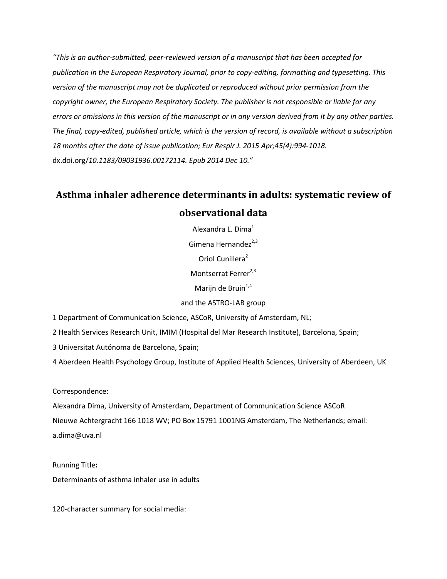*"This is an author-submitted, peer-reviewed version of a manuscript that has been accepted for publication in the European Respiratory Journal, prior to copy-editing, formatting and typesetting. This version of the manuscript may not be duplicated or reproduced without prior permission from the copyright owner, the European Respiratory Society. The publisher is not responsible or liable for any errors or omissions in this version of the manuscript or in any version derived from it by any other parties. The final, copy-edited, published article, which is the version of record, is available without a subscription 18 months after the date of issue publication; Eur Respir J. 2015 Apr;45(4):994-1018.*  dx.doi.org/*10.1183/09031936.00172114. Epub 2014 Dec 10."*

# **Asthma inhaler adherence determinants in adults: systematic review of observational data**

Alexandra L. Dima<sup>1</sup> Gimena Hernandez $^{2,3}$ Oriol Cunillera<sup>2</sup> Montserrat Ferrer<sup>2,3</sup> Marijn de Bruin $1,4$ 

and the ASTRO-LAB group

1 Department of Communication Science, ASCoR, University of Amsterdam, NL;

2 Health Services Research Unit, IMIM (Hospital del Mar Research Institute), Barcelona, Spain;

3 Universitat Autónoma de Barcelona, Spain;

4 Aberdeen Health Psychology Group, Institute of Applied Health Sciences, University of Aberdeen, UK

Correspondence:

Alexandra Dima, University of Amsterdam, Department of Communication Science ASCoR Nieuwe Achtergracht 166 1018 WV; PO Box 15791 1001NG Amsterdam, The Netherlands; email: a.dima@uva.nl

Running Title**:**  Determinants of asthma inhaler use in adults

120-character summary for social media: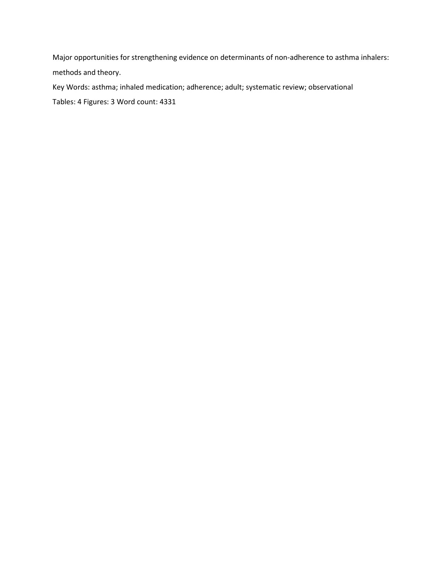Major opportunities for strengthening evidence on determinants of non-adherence to asthma inhalers: methods and theory.

Key Words: asthma; inhaled medication; adherence; adult; systematic review; observational Tables: 4 Figures: 3 Word count: 4331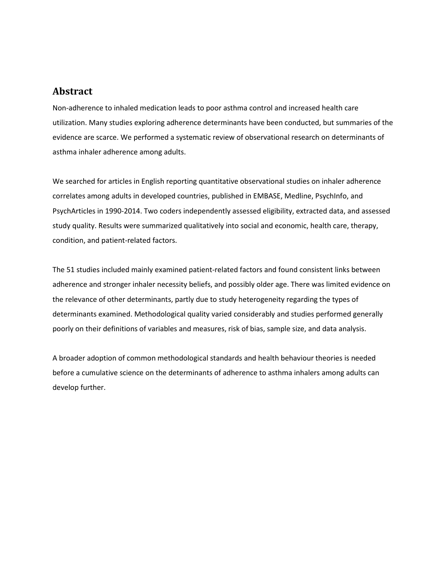## **Abstract**

Non-adherence to inhaled medication leads to poor asthma control and increased health care utilization. Many studies exploring adherence determinants have been conducted, but summaries of the evidence are scarce. We performed a systematic review of observational research on determinants of asthma inhaler adherence among adults.

We searched for articles in English reporting quantitative observational studies on inhaler adherence correlates among adults in developed countries, published in EMBASE, Medline, PsychInfo, and PsychArticles in 1990-2014. Two coders independently assessed eligibility, extracted data, and assessed study quality. Results were summarized qualitatively into social and economic, health care, therapy, condition, and patient-related factors.

The 51 studies included mainly examined patient-related factors and found consistent links between adherence and stronger inhaler necessity beliefs, and possibly older age. There was limited evidence on the relevance of other determinants, partly due to study heterogeneity regarding the types of determinants examined. Methodological quality varied considerably and studies performed generally poorly on their definitions of variables and measures, risk of bias, sample size, and data analysis.

A broader adoption of common methodological standards and health behaviour theories is needed before a cumulative science on the determinants of adherence to asthma inhalers among adults can develop further.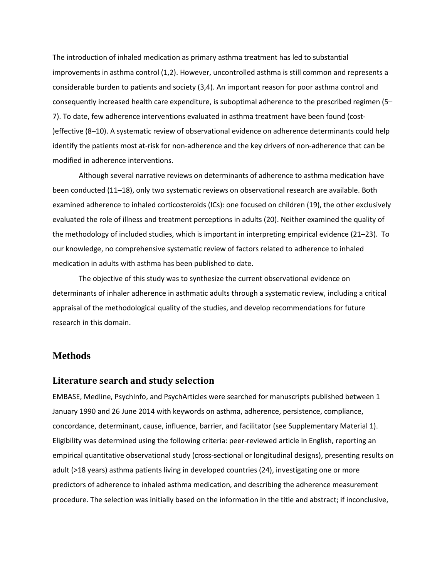The introduction of inhaled medication as primary asthma treatment has led to substantial improvements in asthma control (1,2). However, uncontrolled asthma is still common and represents a considerable burden to patients and society (3,4). An important reason for poor asthma control and consequently increased health care expenditure, is suboptimal adherence to the prescribed regimen (5– 7). To date, few adherence interventions evaluated in asthma treatment have been found (cost- )effective (8–10). A systematic review of observational evidence on adherence determinants could help identify the patients most at-risk for non-adherence and the key drivers of non-adherence that can be modified in adherence interventions.

Although several narrative reviews on determinants of adherence to asthma medication have been conducted (11–18), only two systematic reviews on observational research are available. Both examined adherence to inhaled corticosteroids (ICs): one focused on children (19), the other exclusively evaluated the role of illness and treatment perceptions in adults (20). Neither examined the quality of the methodology of included studies, which is important in interpreting empirical evidence (21–23). To our knowledge, no comprehensive systematic review of factors related to adherence to inhaled medication in adults with asthma has been published to date.

The objective of this study was to synthesize the current observational evidence on determinants of inhaler adherence in asthmatic adults through a systematic review, including a critical appraisal of the methodological quality of the studies, and develop recommendations for future research in this domain.

#### **Methods**

#### **Literature search and study selection**

EMBASE, Medline, PsychInfo, and PsychArticles were searched for manuscripts published between 1 January 1990 and 26 June 2014 with keywords on asthma, adherence, persistence, compliance, concordance, determinant, cause, influence, barrier, and facilitator (see Supplementary Material 1). Eligibility was determined using the following criteria: peer-reviewed article in English, reporting an empirical quantitative observational study (cross-sectional or longitudinal designs), presenting results on adult (>18 years) asthma patients living in developed countries (24), investigating one or more predictors of adherence to inhaled asthma medication, and describing the adherence measurement procedure. The selection was initially based on the information in the title and abstract; if inconclusive,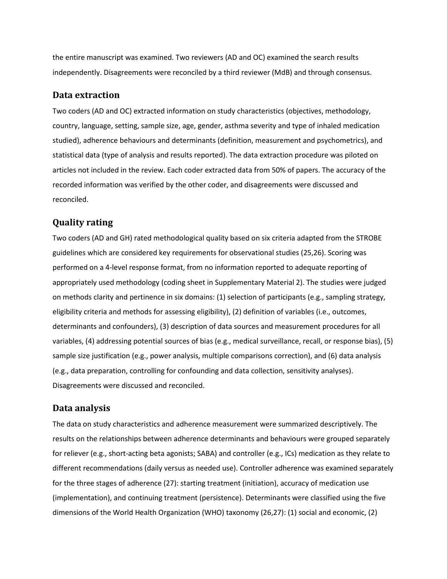the entire manuscript was examined. Two reviewers (AD and OC) examined the search results independently. Disagreements were reconciled by a third reviewer (MdB) and through consensus.

#### **Data extraction**

Two coders (AD and OC) extracted information on study characteristics (objectives, methodology, country, language, setting, sample size, age, gender, asthma severity and type of inhaled medication studied), adherence behaviours and determinants (definition, measurement and psychometrics), and statistical data (type of analysis and results reported). The data extraction procedure was piloted on articles not included in the review. Each coder extracted data from 50% of papers. The accuracy of the recorded information was verified by the other coder, and disagreements were discussed and reconciled.

## **Quality rating**

Two coders (AD and GH) rated methodological quality based on six criteria adapted from the STROBE guidelines which are considered key requirements for observational studies (25,26). Scoring was performed on a 4-level response format, from no information reported to adequate reporting of appropriately used methodology (coding sheet in Supplementary Material 2). The studies were judged on methods clarity and pertinence in six domains: (1) selection of participants (e.g., sampling strategy, eligibility criteria and methods for assessing eligibility), (2) definition of variables (i.e., outcomes, determinants and confounders), (3) description of data sources and measurement procedures for all variables, (4) addressing potential sources of bias (e.g., medical surveillance, recall, or response bias), (5) sample size justification (e.g., power analysis, multiple comparisons correction), and (6) data analysis (e.g., data preparation, controlling for confounding and data collection, sensitivity analyses). Disagreements were discussed and reconciled.

### **Data analysis**

The data on study characteristics and adherence measurement were summarized descriptively. The results on the relationships between adherence determinants and behaviours were grouped separately for reliever (e.g., short-acting beta agonists; SABA) and controller (e.g., ICs) medication as they relate to different recommendations (daily versus as needed use). Controller adherence was examined separately for the three stages of adherence (27): starting treatment (initiation), accuracy of medication use (implementation), and continuing treatment (persistence). Determinants were classified using the five dimensions of the World Health Organization (WHO) taxonomy (26,27): (1) social and economic, (2)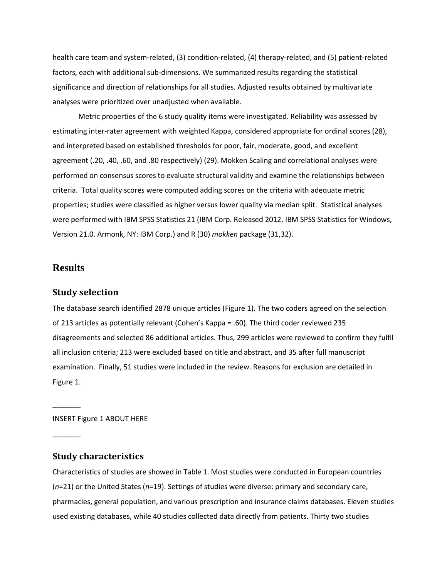health care team and system-related, (3) condition-related, (4) therapy-related, and (5) patient-related factors, each with additional sub-dimensions. We summarized results regarding the statistical significance and direction of relationships for all studies. Adjusted results obtained by multivariate analyses were prioritized over unadjusted when available.

Metric properties of the 6 study quality items were investigated. Reliability was assessed by estimating inter-rater agreement with weighted Kappa, considered appropriate for ordinal scores (28), and interpreted based on established thresholds for poor, fair, moderate, good, and excellent agreement (.20, .40, .60, and .80 respectively) (29). Mokken Scaling and correlational analyses were performed on consensus scores to evaluate structural validity and examine the relationships between criteria. Total quality scores were computed adding scores on the criteria with adequate metric properties; studies were classified as higher versus lower quality via median split. Statistical analyses were performed with IBM SPSS Statistics 21 (IBM Corp. Released 2012. IBM SPSS Statistics for Windows, Version 21.0. Armonk, NY: IBM Corp.) and R (30) *mokken* package (31,32).

## **Results**

 $\overline{\phantom{a}}$ 

 $\overline{\phantom{a}}$ 

#### **Study selection**

The database search identified 2878 unique articles (Figure 1). The two coders agreed on the selection of 213 articles as potentially relevant (Cohen's Kappa = .60). The third coder reviewed 235 disagreements and selected 86 additional articles. Thus, 299 articles were reviewed to confirm they fulfil all inclusion criteria; 213 were excluded based on title and abstract, and 35 after full manuscript examination. Finally, 51 studies were included in the review. Reasons for exclusion are detailed in Figure 1.

INSERT Figure 1 ABOUT HERE

## **Study characteristics**

Characteristics of studies are showed in Table 1. Most studies were conducted in European countries (*n*=21) or the United States (*n*=19). Settings of studies were diverse: primary and secondary care, pharmacies, general population, and various prescription and insurance claims databases. Eleven studies used existing databases, while 40 studies collected data directly from patients. Thirty two studies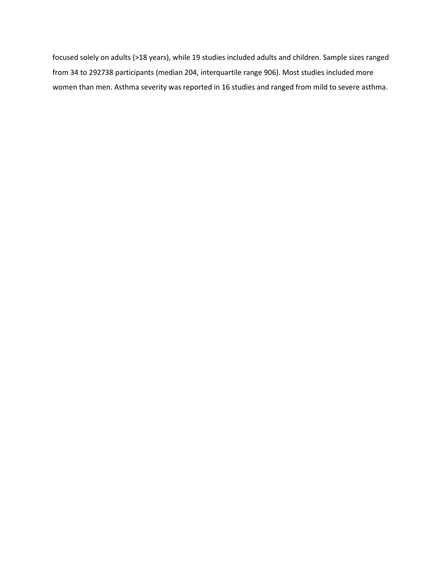focused solely on adults (>18 years), while 19 studies included adults and children. Sample sizes ranged from 34 to 292738 participants (median 204, interquartile range 906). Most studies included more women than men. Asthma severity was reported in 16 studies and ranged from mild to severe asthma.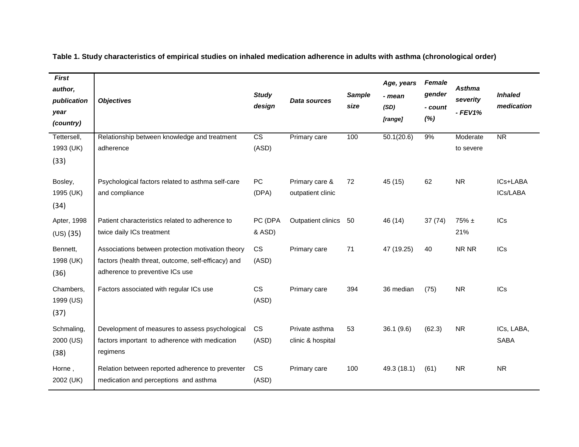| <b>First</b><br>author,<br>publication<br>year<br>(country) | <b>Objectives</b>                                                                                                                           | <b>Study</b><br>design          | Data sources                        | <b>Sample</b><br>size | Age, years<br>- mean<br>(SD)<br>[range] | <b>Female</b><br>gender<br>- count<br>(%) | <b>Asthma</b><br>severity<br>$-$ FEV1% | <b>Inhaled</b><br>medication |
|-------------------------------------------------------------|---------------------------------------------------------------------------------------------------------------------------------------------|---------------------------------|-------------------------------------|-----------------------|-----------------------------------------|-------------------------------------------|----------------------------------------|------------------------------|
| Tettersell,<br>1993 (UK)<br>(33)                            | Relationship between knowledge and treatment<br>adherence                                                                                   | $\overline{\text{cs}}$<br>(ASD) | Primary care                        | 100                   | 50.1(20.6)                              | 9%                                        | Moderate<br>to severe                  | $\overline{\text{NR}}$       |
| Bosley,<br>1995 (UK)<br>(34)                                | Psychological factors related to asthma self-care<br>and compliance                                                                         | PC<br>(DPA)                     | Primary care &<br>outpatient clinic | 72                    | 45 (15)                                 | 62                                        | <b>NR</b>                              | ICs+LABA<br>ICs/LABA         |
| Apter, 1998<br>$(US)$ $(35)$                                | Patient characteristics related to adherence to<br>twice daily ICs treatment                                                                | PC (DPA<br>& ASD)               | Outpatient clinics                  | - 50                  | 46 (14)                                 | 37(74)                                    | $75\% \pm$<br>21%                      | <b>ICs</b>                   |
| Bennett,<br>1998 (UK)<br>(36)                               | Associations between protection motivation theory<br>factors (health threat, outcome, self-efficacy) and<br>adherence to preventive ICs use | <b>CS</b><br>(ASD)              | Primary care                        | 71                    | 47 (19.25)                              | 40                                        | NR NR                                  | ICs                          |
| Chambers,<br>1999 (US)<br>(37)                              | Factors associated with regular ICs use                                                                                                     | <b>CS</b><br>(ASD)              | Primary care                        | 394                   | 36 median                               | (75)                                      | <b>NR</b>                              | <b>ICs</b>                   |
| Schmaling,<br>2000 (US)<br>(38)                             | Development of measures to assess psychological<br>factors important to adherence with medication<br>regimens                               | <b>CS</b><br>(ASD)              | Private asthma<br>clinic & hospital | 53                    | 36.1(9.6)                               | (62.3)                                    | <b>NR</b>                              | ICs, LABA,<br><b>SABA</b>    |
| Horne,<br>2002 (UK)                                         | Relation between reported adherence to preventer<br>medication and perceptions and asthma                                                   | <b>CS</b><br>(ASD)              | Primary care                        | 100                   | 49.3 (18.1)                             | (61)                                      | <b>NR</b>                              | <b>NR</b>                    |

**Table 1. Study characteristics of empirical studies on inhaled medication adherence in adults with asthma (chronological order)**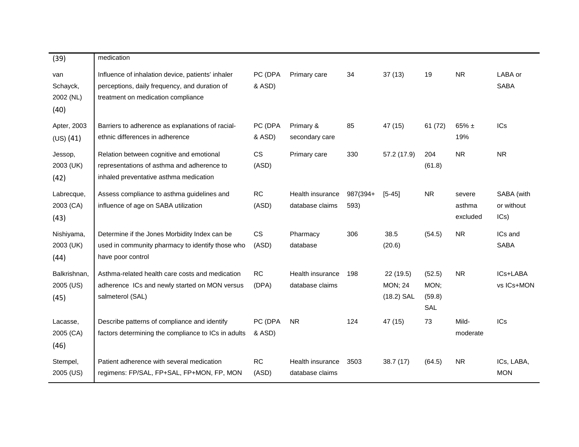| (39)                                 | medication                                                                                                                               |                    |                                     |                  |                                            |                                 |                              |                                  |
|--------------------------------------|------------------------------------------------------------------------------------------------------------------------------------------|--------------------|-------------------------------------|------------------|--------------------------------------------|---------------------------------|------------------------------|----------------------------------|
| van<br>Schayck,<br>2002 (NL)<br>(40) | Influence of inhalation device, patients' inhaler<br>perceptions, daily frequency, and duration of<br>treatment on medication compliance | PC (DPA<br>& ASD)  | Primary care                        | 34               | 37(13)                                     | 19                              | <b>NR</b>                    | LABA or<br><b>SABA</b>           |
| Apter, 2003<br>(US) (41)             | Barriers to adherence as explanations of racial-<br>ethnic differences in adherence                                                      | PC (DPA<br>& ASD)  | Primary &<br>secondary care         | 85               | 47 (15)                                    | 61 (72)                         | $65\% \pm$<br>19%            | <b>ICs</b>                       |
| Jessop,<br>2003 (UK)<br>(42)         | Relation between cognitive and emotional<br>representations of asthma and adherence to<br>inhaled preventative asthma medication         | CS<br>(ASD)        | Primary care                        | 330              | 57.2 (17.9)                                | 204<br>(61.8)                   | <b>NR</b>                    | <b>NR</b>                        |
| Labrecque,<br>2003 (CA)<br>(43)      | Assess compliance to asthma guidelines and<br>influence of age on SABA utilization                                                       | <b>RC</b><br>(ASD) | Health insurance<br>database claims | 987(394+<br>593) | $[5 - 45]$                                 | <b>NR</b>                       | severe<br>asthma<br>excluded | SABA (with<br>or without<br>ICs) |
| Nishiyama,<br>2003 (UK)<br>(44)      | Determine if the Jones Morbidity Index can be<br>used in community pharmacy to identify those who<br>have poor control                   | <b>CS</b><br>(ASD) | Pharmacy<br>database                | 306              | 38.5<br>(20.6)                             | (54.5)                          | <b>NR</b>                    | ICs and<br><b>SABA</b>           |
| Balkrishnan,<br>2005 (US)<br>(45)    | Asthma-related health care costs and medication<br>adherence ICs and newly started on MON versus<br>salmeterol (SAL)                     | <b>RC</b><br>(DPA) | Health insurance<br>database claims | 198              | 22(19.5)<br><b>MON; 24</b><br>$(18.2)$ SAL | (52.5)<br>MON;<br>(59.8)<br>SAL | <b>NR</b>                    | ICs+LABA<br>vs ICs+MON           |
| Lacasse,<br>2005 (CA)<br>(46)        | Describe patterns of compliance and identify<br>factors determining the compliance to ICs in adults                                      | PC (DPA<br>& ASD)  | <b>NR</b>                           | 124              | 47 (15)                                    | 73                              | Mild-<br>moderate            | <b>ICs</b>                       |
| Stempel,<br>2005 (US)                | Patient adherence with several medication<br>regimens: FP/SAL, FP+SAL, FP+MON, FP, MON                                                   | RC<br>(ASD)        | Health insurance<br>database claims | 3503             | 38.7(17)                                   | (64.5)                          | <b>NR</b>                    | ICs, LABA,<br><b>MON</b>         |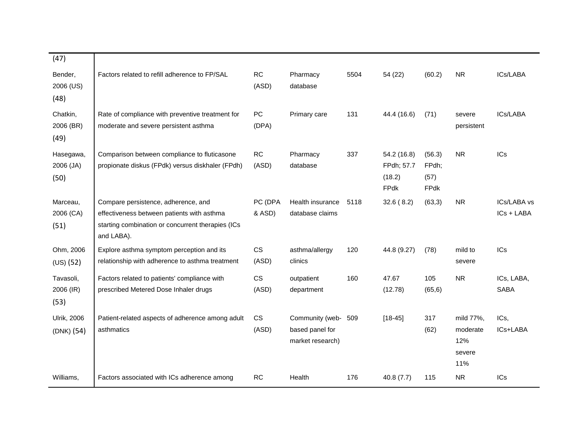| (47)                             |                                                                                                                                                      |                    |                                                        |      |                                             |                                 |                                               |                           |
|----------------------------------|------------------------------------------------------------------------------------------------------------------------------------------------------|--------------------|--------------------------------------------------------|------|---------------------------------------------|---------------------------------|-----------------------------------------------|---------------------------|
| Bender,<br>2006 (US)<br>(48)     | Factors related to refill adherence to FP/SAL                                                                                                        | <b>RC</b><br>(ASD) | Pharmacy<br>database                                   | 5504 | 54 (22)                                     | (60.2)                          | <b>NR</b>                                     | ICs/LABA                  |
| Chatkin,<br>2006 (BR)<br>(49)    | Rate of compliance with preventive treatment for<br>moderate and severe persistent asthma                                                            | PC<br>(DPA)        | Primary care                                           | 131  | 44.4 (16.6)                                 | (71)                            | severe<br>persistent                          | ICs/LABA                  |
| Hasegawa,<br>2006 (JA)<br>(50)   | Comparison between compliance to fluticasone<br>propionate diskus (FPdk) versus diskhaler (FPdh)                                                     | RC<br>(ASD)        | Pharmacy<br>database                                   | 337  | 54.2 (16.8)<br>FPdh; 57.7<br>(18.2)<br>FPdk | (56.3)<br>FPdh;<br>(57)<br>FPdk | <b>NR</b>                                     | <b>ICs</b>                |
| Marceau,<br>2006 (CA)<br>(51)    | Compare persistence, adherence, and<br>effectiveness between patients with asthma<br>starting combination or concurrent therapies (ICs<br>and LABA). | PC (DPA<br>& ASD)  | Health insurance<br>database claims                    | 5118 | 32.6(8.2)                                   | (63,3)                          | <b>NR</b>                                     | ICs/LABA vs<br>ICs + LABA |
| Ohm, 2006<br>(US) (52)           | Explore asthma symptom perception and its<br>relationship with adherence to asthma treatment                                                         | <b>CS</b><br>(ASD) | asthma/allergy<br>clinics                              | 120  | 44.8 (9.27)                                 | (78)                            | mild to<br>severe                             | <b>ICs</b>                |
| Tavasoli,<br>2006 (IR)<br>(53)   | Factors related to patients' compliance with<br>prescribed Metered Dose Inhaler drugs                                                                | CS<br>(ASD)        | outpatient<br>department                               | 160  | 47.67<br>(12.78)                            | 105<br>(65, 6)                  | <b>NR</b>                                     | ICs, LABA,<br><b>SABA</b> |
| <b>Ulrik, 2006</b><br>(DNK) (54) | Patient-related aspects of adherence among adult<br>asthmatics                                                                                       | CS<br>(ASD)        | Community (web-<br>based panel for<br>market research) | 509  | $[18 - 45]$                                 | 317<br>(62)                     | mild 77%,<br>moderate<br>12%<br>severe<br>11% | ICs,<br>ICs+LABA          |
| Williams,                        | Factors associated with ICs adherence among                                                                                                          | <b>RC</b>          | Health                                                 | 176  | 40.8(7.7)                                   | 115                             | <b>NR</b>                                     | ICs                       |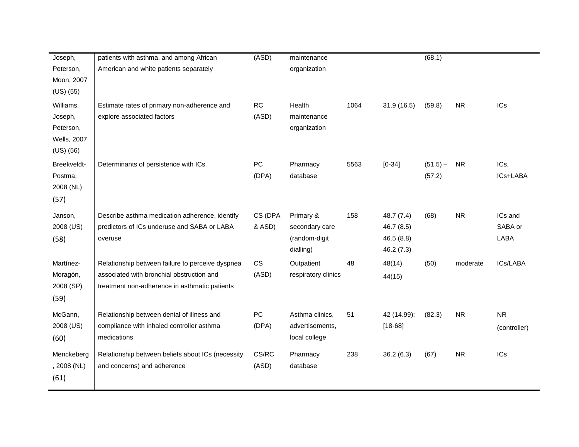| Joseph,            | patients with asthma, and among African           | (ASD)      | maintenance         |      |             | (68,1)     |           |              |
|--------------------|---------------------------------------------------|------------|---------------------|------|-------------|------------|-----------|--------------|
| Peterson,          | American and white patients separately            |            | organization        |      |             |            |           |              |
| Moon, 2007         |                                                   |            |                     |      |             |            |           |              |
| $(US)$ $(55)$      |                                                   |            |                     |      |             |            |           |              |
| Williams,          | Estimate rates of primary non-adherence and       | <b>RC</b>  | Health              | 1064 | 31.9(16.5)  | (59, 8)    | <b>NR</b> | ICs          |
| Joseph,            | explore associated factors                        | (ASD)      | maintenance         |      |             |            |           |              |
| Peterson,          |                                                   |            | organization        |      |             |            |           |              |
| <b>Wells, 2007</b> |                                                   |            |                     |      |             |            |           |              |
| $(US)$ $(56)$      |                                                   |            |                     |      |             |            |           |              |
| Breekveldt-        | Determinants of persistence with ICs              | <b>PC</b>  | Pharmacy            | 5563 | $[0-34]$    | $(51.5) -$ | <b>NR</b> | ICs,         |
| Postma,            |                                                   | (DPA)      | database            |      |             | (57.2)     |           | ICs+LABA     |
| 2008 (NL)          |                                                   |            |                     |      |             |            |           |              |
| (57)               |                                                   |            |                     |      |             |            |           |              |
| Janson,            | Describe asthma medication adherence, identify    | CS (DPA    | Primary &           | 158  | 48.7 (7.4)  | (68)       | <b>NR</b> | ICs and      |
| 2008 (US)          | predictors of ICs underuse and SABA or LABA       | & ASD)     | secondary care      |      | 46.7 (8.5)  |            |           | SABA or      |
| (58)               | overuse                                           |            | (random-digit       |      | 46.5 (8.8)  |            |           | LABA         |
|                    |                                                   |            | dialling)           |      | 46.2 (7.3)  |            |           |              |
| Martínez-          | Relationship between failure to perceive dyspnea  | <b>CS</b>  | Outpatient          | 48   | 48(14)      | (50)       | moderate  | ICs/LABA     |
| Moragón,           | associated with bronchial obstruction and         | (ASD)      | respiratory clinics |      | 44(15)      |            |           |              |
| 2008 (SP)          | treatment non-adherence in asthmatic patients     |            |                     |      |             |            |           |              |
| (59)               |                                                   |            |                     |      |             |            |           |              |
| McGann,            | Relationship between denial of illness and        | ${\sf PC}$ | Asthma clinics,     | 51   | 42 (14.99); | (82.3)     | <b>NR</b> | ${\sf NR}$   |
| 2008 (US)          | compliance with inhaled controller asthma         | (DPA)      | advertisements,     |      | $[18 - 68]$ |            |           | (controller) |
| (60)               | medications                                       |            | local college       |      |             |            |           |              |
| Menckeberg         | Relationship between beliefs about ICs (necessity | CS/RC      | Pharmacy            | 238  | 36.2(6.3)   | (67)       | <b>NR</b> | <b>ICs</b>   |
| , 2008 (NL)        | and concerns) and adherence                       | (ASD)      | database            |      |             |            |           |              |
| (61)               |                                                   |            |                     |      |             |            |           |              |
|                    |                                                   |            |                     |      |             |            |           |              |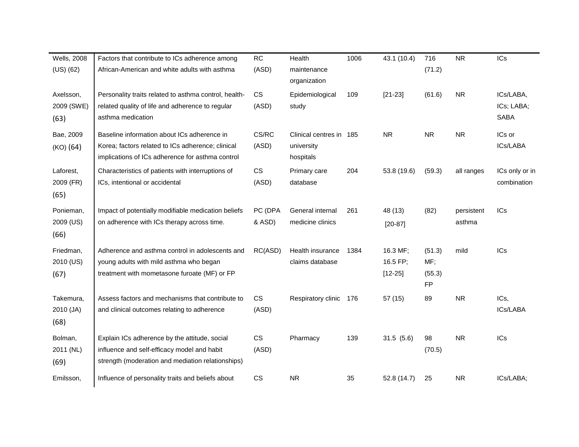| <b>RC</b>                                                                                                                                                                                                                                                                                                                                                                                                                                                                                                                                                                                                                                                                                                                                                                                                                                                                                                                              | Health           | 1006                        | 43.1 (10.4)                                       | 716        | <b>NR</b>  | ICs                                               |
|----------------------------------------------------------------------------------------------------------------------------------------------------------------------------------------------------------------------------------------------------------------------------------------------------------------------------------------------------------------------------------------------------------------------------------------------------------------------------------------------------------------------------------------------------------------------------------------------------------------------------------------------------------------------------------------------------------------------------------------------------------------------------------------------------------------------------------------------------------------------------------------------------------------------------------------|------------------|-----------------------------|---------------------------------------------------|------------|------------|---------------------------------------------------|
|                                                                                                                                                                                                                                                                                                                                                                                                                                                                                                                                                                                                                                                                                                                                                                                                                                                                                                                                        |                  |                             |                                                   |            |            |                                                   |
|                                                                                                                                                                                                                                                                                                                                                                                                                                                                                                                                                                                                                                                                                                                                                                                                                                                                                                                                        |                  |                             |                                                   |            |            |                                                   |
| <b>CS</b>                                                                                                                                                                                                                                                                                                                                                                                                                                                                                                                                                                                                                                                                                                                                                                                                                                                                                                                              | Epidemiological  | 109                         | $[21-23]$                                         | (61.6)     | <b>NR</b>  | ICs/LABA,                                         |
|                                                                                                                                                                                                                                                                                                                                                                                                                                                                                                                                                                                                                                                                                                                                                                                                                                                                                                                                        | study            |                             |                                                   |            |            | ICs; LABA;                                        |
|                                                                                                                                                                                                                                                                                                                                                                                                                                                                                                                                                                                                                                                                                                                                                                                                                                                                                                                                        |                  |                             |                                                   |            |            | <b>SABA</b>                                       |
| CS/RC                                                                                                                                                                                                                                                                                                                                                                                                                                                                                                                                                                                                                                                                                                                                                                                                                                                                                                                                  |                  |                             | <b>NR</b>                                         | ${\sf NR}$ | <b>NR</b>  | ICs or                                            |
| (ASD)                                                                                                                                                                                                                                                                                                                                                                                                                                                                                                                                                                                                                                                                                                                                                                                                                                                                                                                                  | university       |                             |                                                   |            |            | ICs/LABA                                          |
|                                                                                                                                                                                                                                                                                                                                                                                                                                                                                                                                                                                                                                                                                                                                                                                                                                                                                                                                        | hospitals        |                             |                                                   |            |            |                                                   |
| CS                                                                                                                                                                                                                                                                                                                                                                                                                                                                                                                                                                                                                                                                                                                                                                                                                                                                                                                                     | Primary care     | 204                         | 53.8 (19.6)                                       | (59.3)     | all ranges | ICs only or in                                    |
| (ASD)                                                                                                                                                                                                                                                                                                                                                                                                                                                                                                                                                                                                                                                                                                                                                                                                                                                                                                                                  | database         |                             |                                                   |            |            | combination                                       |
|                                                                                                                                                                                                                                                                                                                                                                                                                                                                                                                                                                                                                                                                                                                                                                                                                                                                                                                                        |                  |                             |                                                   |            |            |                                                   |
| PC (DPA                                                                                                                                                                                                                                                                                                                                                                                                                                                                                                                                                                                                                                                                                                                                                                                                                                                                                                                                | General internal | 261                         | 48 (13)                                           | (82)       | persistent | ICs                                               |
| & ASD)                                                                                                                                                                                                                                                                                                                                                                                                                                                                                                                                                                                                                                                                                                                                                                                                                                                                                                                                 | medicine clinics |                             | $[20-87]$                                         |            | asthma     |                                                   |
|                                                                                                                                                                                                                                                                                                                                                                                                                                                                                                                                                                                                                                                                                                                                                                                                                                                                                                                                        |                  |                             |                                                   |            |            |                                                   |
| RC(ASD)                                                                                                                                                                                                                                                                                                                                                                                                                                                                                                                                                                                                                                                                                                                                                                                                                                                                                                                                | Health insurance | 1384                        | 16.3 MF;                                          | (51.3)     | mild       | ICs                                               |
|                                                                                                                                                                                                                                                                                                                                                                                                                                                                                                                                                                                                                                                                                                                                                                                                                                                                                                                                        | claims database  |                             | 16.5 FP;                                          | MF:        |            |                                                   |
|                                                                                                                                                                                                                                                                                                                                                                                                                                                                                                                                                                                                                                                                                                                                                                                                                                                                                                                                        |                  |                             | $[12 - 25]$                                       | (55.3)     |            |                                                   |
|                                                                                                                                                                                                                                                                                                                                                                                                                                                                                                                                                                                                                                                                                                                                                                                                                                                                                                                                        |                  |                             |                                                   | <b>FP</b>  |            |                                                   |
| <b>CS</b>                                                                                                                                                                                                                                                                                                                                                                                                                                                                                                                                                                                                                                                                                                                                                                                                                                                                                                                              |                  |                             | 57 (15)                                           | 89         | <b>NR</b>  | ICs,                                              |
| (ASD)                                                                                                                                                                                                                                                                                                                                                                                                                                                                                                                                                                                                                                                                                                                                                                                                                                                                                                                                  |                  |                             |                                                   |            |            | ICs/LABA                                          |
|                                                                                                                                                                                                                                                                                                                                                                                                                                                                                                                                                                                                                                                                                                                                                                                                                                                                                                                                        |                  |                             |                                                   |            |            |                                                   |
| <b>CS</b>                                                                                                                                                                                                                                                                                                                                                                                                                                                                                                                                                                                                                                                                                                                                                                                                                                                                                                                              | Pharmacy         | 139                         | 31.5(5.6)                                         | 98         | <b>NR</b>  | ICs                                               |
| (ASD)                                                                                                                                                                                                                                                                                                                                                                                                                                                                                                                                                                                                                                                                                                                                                                                                                                                                                                                                  |                  |                             |                                                   | (70.5)     |            |                                                   |
|                                                                                                                                                                                                                                                                                                                                                                                                                                                                                                                                                                                                                                                                                                                                                                                                                                                                                                                                        |                  |                             |                                                   |            |            |                                                   |
|                                                                                                                                                                                                                                                                                                                                                                                                                                                                                                                                                                                                                                                                                                                                                                                                                                                                                                                                        |                  |                             |                                                   |            |            |                                                   |
| Factors that contribute to ICs adherence among<br>African-American and white adults with asthma<br>Personality traits related to asthma control, health-<br>related quality of life and adherence to regular<br>asthma medication<br>Baseline information about ICs adherence in<br>Korea; factors related to ICs adherence; clinical<br>implications of ICs adherence for asthma control<br>Characteristics of patients with interruptions of<br>ICs, intentional or accidental<br>Impact of potentially modifiable medication beliefs<br>on adherence with ICs therapy across time.<br>Adherence and asthma control in adolescents and<br>young adults with mild asthma who began<br>treatment with mometasone furoate (MF) or FP<br>Assess factors and mechanisms that contribute to<br>and clinical outcomes relating to adherence<br>Explain ICs adherence by the attitude, social<br>influence and self-efficacy model and habit | (ASD)<br>(ASD)   | maintenance<br>organization | Clinical centres in 185<br>Respiratory clinic 176 |            | (71.2)     | strength (moderation and mediation relationships) |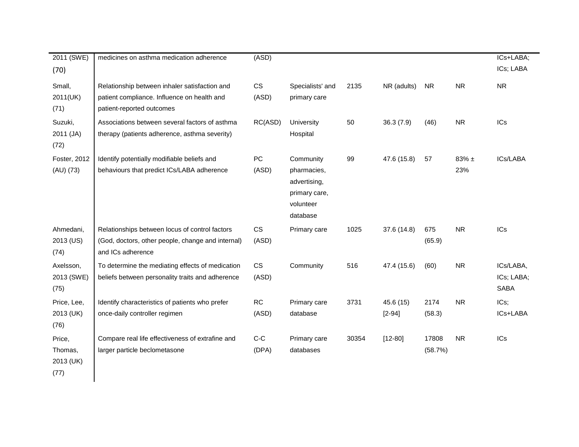| 2011 (SWE)                             | medicines on asthma medication adherence                                                                                  | (ASD)               |                                                                                    |       |                         |                  |                 | ICs+LABA;                              |
|----------------------------------------|---------------------------------------------------------------------------------------------------------------------------|---------------------|------------------------------------------------------------------------------------|-------|-------------------------|------------------|-----------------|----------------------------------------|
| (70)                                   |                                                                                                                           |                     |                                                                                    |       |                         |                  |                 | ICs; LABA                              |
| Small,<br>2011(UK)<br>(71)             | Relationship between inhaler satisfaction and<br>patient compliance. Influence on health and<br>patient-reported outcomes | <b>CS</b><br>(ASD)  | Specialists' and<br>primary care                                                   | 2135  | NR (adults)             | <b>NR</b>        | <b>NR</b>       | <b>NR</b>                              |
| Suzuki,<br>2011 (JA)<br>(72)           | Associations between several factors of asthma<br>therapy (patients adherence, asthma severity)                           | RC(ASD)             | University<br>Hospital                                                             | 50    | 36.3(7.9)               | (46)             | <b>NR</b>       | <b>ICs</b>                             |
| Foster, 2012<br>(AU) (73)              | Identify potentially modifiable beliefs and<br>behaviours that predict ICs/LABA adherence                                 | ${\sf PC}$<br>(ASD) | Community<br>pharmacies,<br>advertising,<br>primary care,<br>volunteer<br>database | 99    | 47.6 (15.8)             | 57               | $83\%$ ±<br>23% | ICs/LABA                               |
| Ahmedani,<br>2013 (US)<br>(74)         | Relationships between locus of control factors<br>(God, doctors, other people, change and internal)<br>and ICs adherence  | CS<br>(ASD)         | Primary care                                                                       | 1025  | 37.6 (14.8)             | 675<br>(65.9)    | <b>NR</b>       | <b>ICs</b>                             |
| Axelsson,<br>2013 (SWE)<br>(75)        | To determine the mediating effects of medication<br>beliefs between personality traits and adherence                      | CS<br>(ASD)         | Community                                                                          | 516   | 47.4 (15.6)             | (60)             | <b>NR</b>       | ICs/LABA,<br>ICs; LABA;<br><b>SABA</b> |
| Price, Lee,<br>2013 (UK)<br>(76)       | Identify characteristics of patients who prefer<br>once-daily controller regimen                                          | RC<br>(ASD)         | Primary care<br>database                                                           | 3731  | 45.6 (15)<br>$[2 - 94]$ | 2174<br>(58.3)   | <b>NR</b>       | ICs;<br>ICs+LABA                       |
| Price,<br>Thomas,<br>2013 (UK)<br>(77) | Compare real life effectiveness of extrafine and<br>larger particle beclometasone                                         | $C-C$<br>(DPA)      | Primary care<br>databases                                                          | 30354 | $[12 - 80]$             | 17808<br>(58.7%) | <b>NR</b>       | <b>ICs</b>                             |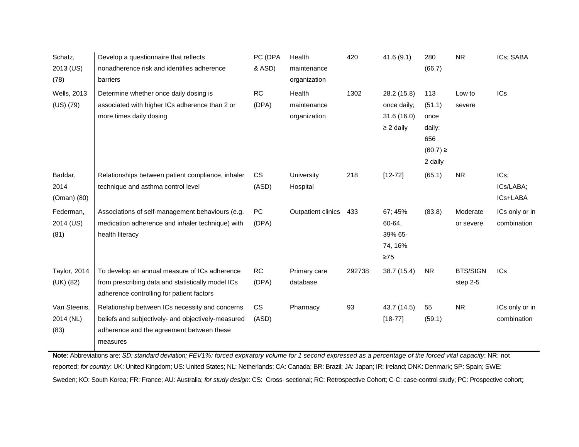| Schatz,             | Develop a questionnaire that reflects              | PC (DPA   | Health             | 420    | 41.6(9.1)      | 280          | <b>NR</b>       | ICs; SABA       |
|---------------------|----------------------------------------------------|-----------|--------------------|--------|----------------|--------------|-----------------|-----------------|
| 2013 (US)           | nonadherence risk and identifies adherence         | & ASD)    | maintenance        |        |                | (66.7)       |                 |                 |
| (78)                | barriers                                           |           | organization       |        |                |              |                 |                 |
| <b>Wells, 2013</b>  | Determine whether once daily dosing is             | RC        | Health             | 1302   | 28.2 (15.8)    | 113          | Low to          | IC <sub>s</sub> |
| $(US)$ $(79)$       | associated with higher ICs adherence than 2 or     | (DPA)     | maintenance        |        | once daily;    | (51.1)       | severe          |                 |
|                     | more times daily dosing                            |           | organization       |        | 31.6(16.0)     | once         |                 |                 |
|                     |                                                    |           |                    |        | $\geq$ 2 daily | daily;       |                 |                 |
|                     |                                                    |           |                    |        |                | 656          |                 |                 |
|                     |                                                    |           |                    |        |                | $(60.7) \ge$ |                 |                 |
|                     |                                                    |           |                    |        |                | 2 daily      |                 |                 |
| Baddar,             | Relationships between patient compliance, inhaler  | CS        | University         | 218    | $[12 - 72]$    | (65.1)       | <b>NR</b>       | $ICs$ ;         |
| 2014                | technique and asthma control level                 | (ASD)     | Hospital           |        |                |              |                 | ICs/LABA;       |
| (Oman) (80)         |                                                    |           |                    |        |                |              |                 | ICs+LABA        |
| Federman,           | Associations of self-management behaviours (e.g.   | PC        | Outpatient clinics | 433    | 67:45%         | (83.8)       | Moderate        | ICs only or in  |
| 2014 (US)           | medication adherence and inhaler technique) with   | (DPA)     |                    |        | 60-64,         |              | or severe       | combination     |
| (81)                | health literacy                                    |           |                    |        | 39% 65-        |              |                 |                 |
|                     |                                                    |           |                    |        | 74, 16%        |              |                 |                 |
|                     |                                                    |           |                    |        | $\geq 75$      |              |                 |                 |
| <b>Taylor, 2014</b> | To develop an annual measure of ICs adherence      | <b>RC</b> | Primary care       | 292738 | 38.7 (15.4)    | NR.          | <b>BTS/SIGN</b> | <b>ICs</b>      |
| (UK) (82)           | from prescribing data and statistically model ICs  | (DPA)     | database           |        |                |              | step 2-5        |                 |
|                     | adherence controlling for patient factors          |           |                    |        |                |              |                 |                 |
| Van Steenis,        | Relationship between ICs necessity and concerns    | CS        | Pharmacy           | 93     | 43.7 (14.5)    | 55           | <b>NR</b>       | ICs only or in  |
| 2014 (NL)           | beliefs and subjectively- and objectively-measured | (ASD)     |                    |        | $[18 - 77]$    | (59.1)       |                 | combination     |
| (83)                | adherence and the agreement between these          |           |                    |        |                |              |                 |                 |
|                     | measures                                           |           |                    |        |                |              |                 |                 |

**Note**: Abbreviations are: *SD: standard deviation; FEV1%: forced expiratory volume for 1 second expressed as a percentage of the forced vital capacity*; NR: not reported; *for country*: UK: United Kingdom; US: United States; NL: Netherlands; CA: Canada; BR: Brazil; JA: Japan; IR: Ireland; DNK: Denmark; SP: Spain; SWE: Sweden; KO: South Korea; FR: France; AU: Australia; *for study design*: CS: Cross- sectional; RC: Retrospective Cohort; C-C: case-control study; PC: Prospective cohort;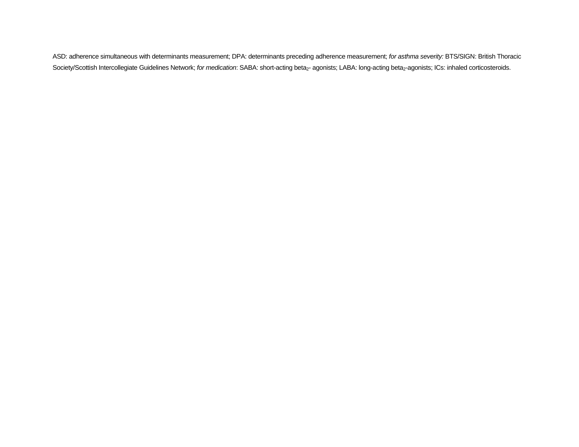ASD: adherence simultaneous with determinants measurement; DPA: determinants preceding adherence measurement; *for asthma severity:* BTS/SIGN: British Thoracic Society/Scottish Intercollegiate Guidelines Network; for medication: SABA: short-acting beta<sub>2</sub>- agonists; LABA: long-acting beta<sub>2</sub>-agonists; ICs: inhaled corticosteroids.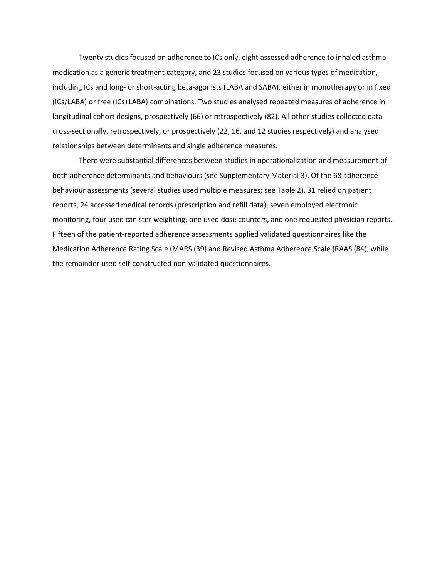Twenty studies focused on adherence to ICs only, eight assessed adherence to inhaled asthma medication as a generic treatment category, and 23 studies focused on various types of medication, including ICs and long- or short-acting beta-agonists (LABA and SABA), either in monotherapy or in fixed (ICs/LABA) or free (ICs+LABA) combinations. Two studies analysed repeated measures of adherence in longitudinal cohort designs, prospectively (66) or retrospectively (82). All other studies collected data cross-sectionally, retrospectively, or prospectively (22, 16, and 12 studies respectively) and analysed relationships between determinants and single adherence measures.

There were substantial differences between studies in operationalization and measurement of both adherence determinants and behaviours (see Supplementary Material 3). Of the 68 adherence behaviour assessments (several studies used multiple measures; see Table 2), 31 relied on patient reports, 24 accessed medical records (prescription and refill data), seven employed electronic monitoring, four used canister weighting, one used dose counters, and one requested physician reports. Fifteen of the patient-reported adherence assessments applied validated questionnaires like the Medication Adherence Rating Scale (MARS (39) and Revised Asthma Adherence Scale (RAAS (84), while the remainder used self-constructed non-validated questionnaires.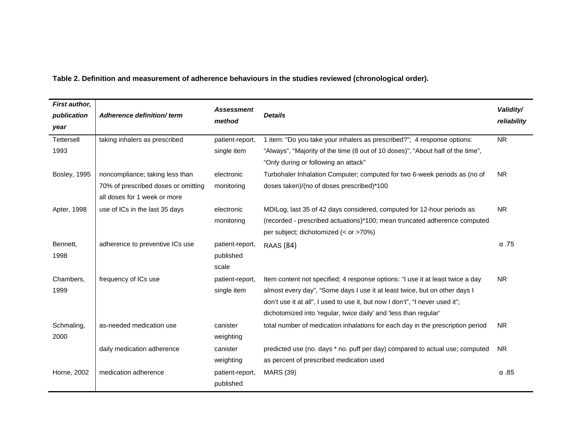**Table 2. Definition and measurement of adherence behaviours in the studies reviewed (chronological order).**

| First author,       |                                     | <b>Assessment</b> |                                                                                 | Validity/    |
|---------------------|-------------------------------------|-------------------|---------------------------------------------------------------------------------|--------------|
| publication         | Adherence definition/term           | method            | <b>Details</b>                                                                  | reliability  |
| year                |                                     |                   |                                                                                 |              |
| Tettersell          | taking inhalers as prescribed       | patient-report,   | 1 item: "Do you take your inhalers as prescribed?"; 4 response options:         | <b>NR</b>    |
| 1993                |                                     | single item       | "Always", "Majority of the time (8 out of 10 doses)", "About half of the time", |              |
|                     |                                     |                   | "Only during or following an attack"                                            |              |
| <b>Bosley, 1995</b> | noncompliance; taking less than     | electronic        | Turbohaler Inhalation Computer; computed for two 6-week periods as (no of       | <b>NR</b>    |
|                     | 70% of prescribed doses or omitting | monitoring        | doses taken)/(no of doses prescribed)*100                                       |              |
|                     | all doses for 1 week or more        |                   |                                                                                 |              |
| Apter, 1998         | use of ICs in the last 35 days      | electronic        | MDILog, last 35 of 42 days considered, computed for 12-hour periods as          | <b>NR</b>    |
|                     |                                     | monitoring        | (recorded - prescribed actuations)*100; mean truncated adherence computed       |              |
|                     |                                     |                   | per subject; dichotomized (< or >70%)                                           |              |
| Bennett,            | adherence to preventive ICs use     | patient-report,   | <b>RAAS</b> (84)                                                                | $\alpha$ .75 |
| 1998                |                                     | published         |                                                                                 |              |
|                     |                                     | scale             |                                                                                 |              |
| Chambers,           | frequency of ICs use                | patient-report,   | Item content not specified; 4 response options: "I use it at least twice a day  | <b>NR</b>    |
| 1999                |                                     | single item       | almost every day", "Some days I use it at least twice, but on other days I      |              |
|                     |                                     |                   | don't use it at all", I used to use it, but now I don't", "I never used it";    |              |
|                     |                                     |                   | dichotomized into 'regular, twice daily' and 'less than regular'                |              |
| Schmaling,          | as-needed medication use            | canister          | total number of medication inhalations for each day in the prescription period  | <b>NR</b>    |
| 2000                |                                     | weighting         |                                                                                 |              |
|                     | daily medication adherence          | canister          | predicted use (no. days * no. puff per day) compared to actual use; computed    | <b>NR</b>    |
|                     |                                     | weighting         | as percent of prescribed medication used                                        |              |
| Horne, 2002         | medication adherence                | patient-report,   | <b>MARS (39)</b>                                                                | $\alpha$ .85 |
|                     |                                     | published         |                                                                                 |              |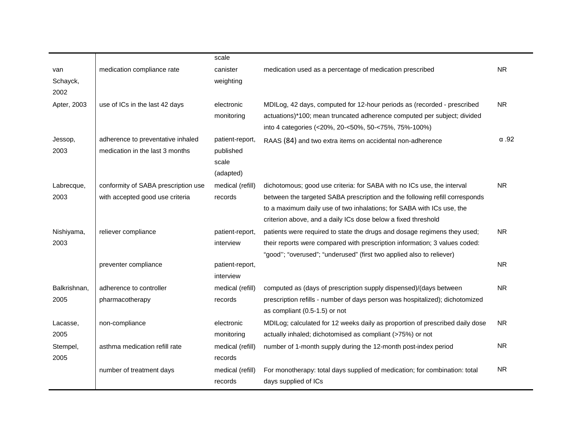|              |                                     | scale            |                                                                              |              |
|--------------|-------------------------------------|------------------|------------------------------------------------------------------------------|--------------|
| van          | medication compliance rate          | canister         | medication used as a percentage of medication prescribed                     | <b>NR</b>    |
| Schayck,     |                                     | weighting        |                                                                              |              |
| 2002         |                                     |                  |                                                                              |              |
| Apter, 2003  | use of ICs in the last 42 days      | electronic       | MDILog, 42 days, computed for 12-hour periods as (recorded - prescribed      | <b>NR</b>    |
|              |                                     | monitoring       | actuations)*100; mean truncated adherence computed per subject; divided      |              |
|              |                                     |                  | into 4 categories (<20%, 20-<50%, 50-<75%, 75%-100%)                         |              |
| Jessop,      | adherence to preventative inhaled   | patient-report,  | RAAS (84) and two extra items on accidental non-adherence                    | $\alpha$ .92 |
| 2003         | medication in the last 3 months     | published        |                                                                              |              |
|              |                                     | scale            |                                                                              |              |
|              |                                     | (adapted)        |                                                                              |              |
| Labrecque,   | conformity of SABA prescription use | medical (refill) | dichotomous; good use criteria: for SABA with no ICs use, the interval       | <b>NR</b>    |
| 2003         | with accepted good use criteria     | records          | between the targeted SABA prescription and the following refill corresponds  |              |
|              |                                     |                  | to a maximum daily use of two inhalations; for SABA with ICs use, the        |              |
|              |                                     |                  | criterion above, and a daily ICs dose below a fixed threshold                |              |
| Nishiyama,   | reliever compliance                 | patient-report,  | patients were required to state the drugs and dosage regimens they used;     | NR.          |
| 2003         |                                     | interview        | their reports were compared with prescription information; 3 values coded:   |              |
|              |                                     |                  | "good"; "overused"; "underused" (first two applied also to reliever)         |              |
|              | preventer compliance                | patient-report,  |                                                                              | <b>NR</b>    |
|              |                                     | interview        |                                                                              |              |
| Balkrishnan, | adherence to controller             | medical (refill) | computed as (days of prescription supply dispensed)/(days between            | <b>NR</b>    |
| 2005         | pharmacotherapy                     | records          | prescription refills - number of days person was hospitalized); dichotomized |              |
|              |                                     |                  | as compliant (0.5-1.5) or not                                                |              |
| Lacasse,     | non-compliance                      | electronic       | MDILog; calculated for 12 weeks daily as proportion of prescribed daily dose | <b>NR</b>    |
| 2005         |                                     | monitoring       | actually inhaled; dichotomised as compliant (>75%) or not                    |              |
| Stempel,     | asthma medication refill rate       | medical (refill) | number of 1-month supply during the 12-month post-index period               | <b>NR</b>    |
| 2005         |                                     | records          |                                                                              |              |
|              | number of treatment days            | medical (refill) | For monotherapy: total days supplied of medication; for combination: total   | <b>NR</b>    |
|              |                                     | records          | days supplied of ICs                                                         |              |
|              |                                     |                  |                                                                              |              |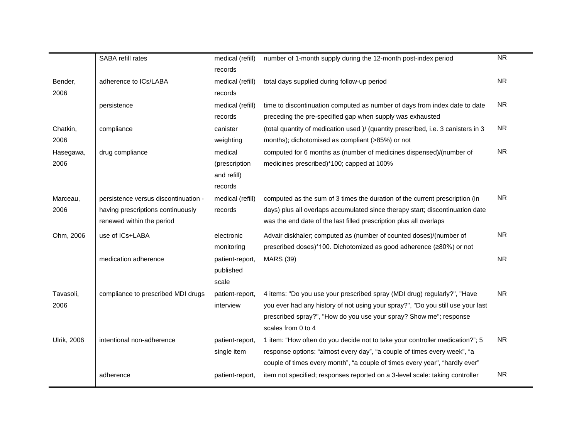|                    | SABA refill rates                    | medical (refill) | number of 1-month supply during the 12-month post-index period                    | <b>NR</b> |
|--------------------|--------------------------------------|------------------|-----------------------------------------------------------------------------------|-----------|
|                    |                                      | records          |                                                                                   |           |
| Bender,            | adherence to ICs/LABA                | medical (refill) | total days supplied during follow-up period                                       | <b>NR</b> |
| 2006               |                                      | records          |                                                                                   |           |
|                    | persistence                          | medical (refill) | time to discontinuation computed as number of days from index date to date        | <b>NR</b> |
|                    |                                      | records          | preceding the pre-specified gap when supply was exhausted                         |           |
| Chatkin,           | compliance                           | canister         | (total quantity of medication used )/ (quantity prescribed, i.e. 3 canisters in 3 | <b>NR</b> |
| 2006               |                                      | weighting        | months); dichotomised as compliant (>85%) or not                                  |           |
| Hasegawa,          | drug compliance                      | medical          | computed for 6 months as (number of medicines dispensed)/(number of               | <b>NR</b> |
| 2006               |                                      | (prescription    | medicines prescribed)*100; capped at 100%                                         |           |
|                    |                                      | and refill)      |                                                                                   |           |
|                    |                                      | records          |                                                                                   |           |
| Marceau,           | persistence versus discontinuation - | medical (refill) | computed as the sum of 3 times the duration of the current prescription (in       | <b>NR</b> |
| 2006               | having prescriptions continuously    | records          | days) plus all overlaps accumulated since therapy start; discontinuation date     |           |
|                    | renewed within the period            |                  | was the end date of the last filled prescription plus all overlaps                |           |
| Ohm, 2006          | use of ICs+LABA                      | electronic       | Advair diskhaler; computed as (number of counted doses)/(number of                | <b>NR</b> |
|                    |                                      | monitoring       | prescribed doses)*100. Dichotomized as good adherence (≥80%) or not               |           |
|                    | medication adherence                 | patient-report,  | <b>MARS (39)</b>                                                                  | <b>NR</b> |
|                    |                                      | published        |                                                                                   |           |
|                    |                                      | scale            |                                                                                   |           |
| Tavasoli,          | compliance to prescribed MDI drugs   | patient-report,  | 4 items: "Do you use your prescribed spray (MDI drug) regularly?", "Have          | <b>NR</b> |
| 2006               |                                      | interview        | you ever had any history of not using your spray?", "Do you still use your last   |           |
|                    |                                      |                  | prescribed spray?", "How do you use your spray? Show me"; response                |           |
|                    |                                      |                  | scales from 0 to 4                                                                |           |
| <b>Ulrik, 2006</b> | intentional non-adherence            | patient-report,  | 1 item: "How often do you decide not to take your controller medication?"; 5      | <b>NR</b> |
|                    |                                      | single item      | response options: "almost every day", "a couple of times every week", "a          |           |
|                    |                                      |                  | couple of times every month", "a couple of times every year", "hardly ever"       |           |
|                    | adherence                            | patient-report,  | item not specified; responses reported on a 3-level scale: taking controller      | <b>NR</b> |
|                    |                                      |                  |                                                                                   |           |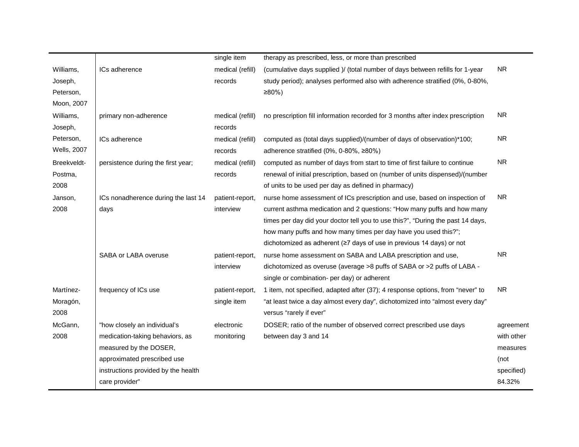|                    |                                     | single item      | therapy as prescribed, less, or more than prescribed                            |            |
|--------------------|-------------------------------------|------------------|---------------------------------------------------------------------------------|------------|
| Williams,          | ICs adherence                       | medical (refill) | (cumulative days supplied )/ (total number of days between refills for 1-year   | <b>NR</b>  |
| Joseph,            |                                     | records          | study period); analyses performed also with adherence stratified (0%, 0-80%,    |            |
| Peterson,          |                                     |                  | $≥80%$ )                                                                        |            |
| Moon, 2007         |                                     |                  |                                                                                 |            |
| Williams,          | primary non-adherence               | medical (refill) | no prescription fill information recorded for 3 months after index prescription | <b>NR</b>  |
| Joseph,            |                                     | records          |                                                                                 |            |
| Peterson,          | ICs adherence                       | medical (refill) | computed as (total days supplied)/(number of days of observation)*100;          | <b>NR</b>  |
| <b>Wells, 2007</b> |                                     | records          | adherence stratified (0%, 0-80%, ≥80%)                                          |            |
| Breekveldt-        | persistence during the first year;  | medical (refill) | computed as number of days from start to time of first failure to continue      | <b>NR</b>  |
| Postma,            |                                     | records          | renewal of initial prescription, based on (number of units dispensed)/(number   |            |
| 2008               |                                     |                  | of units to be used per day as defined in pharmacy)                             |            |
| Janson,            | ICs nonadherence during the last 14 | patient-report,  | nurse home assessment of ICs prescription and use, based on inspection of       | <b>NR</b>  |
| 2008               | days                                | interview        | current asthma medication and 2 questions: "How many puffs and how many         |            |
|                    |                                     |                  | times per day did your doctor tell you to use this?", "During the past 14 days, |            |
|                    |                                     |                  | how many puffs and how many times per day have you used this?";                 |            |
|                    |                                     |                  | dichotomized as adherent (≥7 days of use in previous 14 days) or not            |            |
|                    | SABA or LABA overuse                | patient-report,  | nurse home assessment on SABA and LABA prescription and use,                    | <b>NR</b>  |
|                    |                                     | interview        | dichotomized as overuse (average >8 puffs of SABA or >2 puffs of LABA -         |            |
|                    |                                     |                  | single or combination- per day) or adherent                                     |            |
| Martínez-          | frequency of ICs use                | patient-report,  | 1 item, not specified, adapted after (37); 4 response options, from "never" to  | <b>NR</b>  |
| Moragón,           |                                     | single item      | "at least twice a day almost every day", dichotomized into "almost every day"   |            |
| 2008               |                                     |                  | versus "rarely if ever"                                                         |            |
| McGann,            | "how closely an individual's        | electronic       | DOSER; ratio of the number of observed correct prescribed use days              | agreement  |
| 2008               | medication-taking behaviors, as     | monitoring       | between day 3 and 14                                                            | with other |
|                    | measured by the DOSER,              |                  |                                                                                 | measures   |
|                    | approximated prescribed use         |                  |                                                                                 | (not       |
|                    | instructions provided by the health |                  |                                                                                 | specified) |
|                    | care provider"                      |                  |                                                                                 | 84.32%     |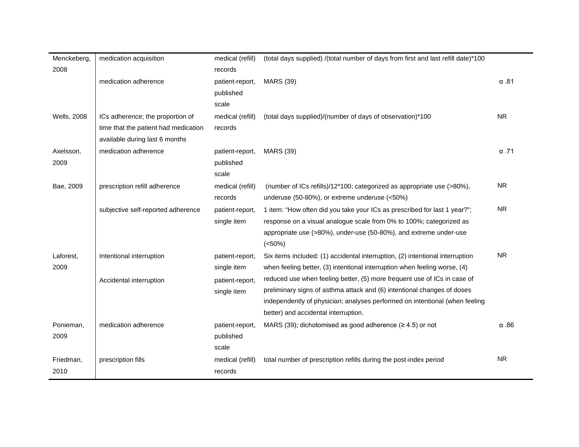| Menckeberg,        | medication acquisition               | medical (refill) | (total days supplied) /(total number of days from first and last refill date)*100 |              |
|--------------------|--------------------------------------|------------------|-----------------------------------------------------------------------------------|--------------|
| 2008               |                                      | records          |                                                                                   |              |
|                    | medication adherence                 | patient-report,  | <b>MARS (39)</b>                                                                  | $\alpha$ .81 |
|                    |                                      | published        |                                                                                   |              |
|                    |                                      | scale            |                                                                                   |              |
| <b>Wells, 2008</b> | ICs adherence; the proportion of     | medical (refill) | (total days supplied)/(number of days of observation)*100                         | <b>NR</b>    |
|                    | time that the patient had medication | records          |                                                                                   |              |
|                    | available during last 6 months       |                  |                                                                                   |              |
| Axelsson,          | medication adherence                 | patient-report,  | <b>MARS (39)</b>                                                                  | $\alpha$ .71 |
| 2009               |                                      | published        |                                                                                   |              |
|                    |                                      | scale            |                                                                                   |              |
| Bae, 2009          | prescription refill adherence        | medical (refill) | (number of ICs refills)/12*100; categorized as appropriate use (>80%),            | <b>NR</b>    |
|                    |                                      | records          | underuse (50-80%), or extreme underuse (<50%)                                     |              |
|                    | subjective self-reported adherence   | patient-report,  | 1 item: "How often did you take your ICs as prescribed for last 1 year?";         | <b>NR</b>    |
|                    |                                      | single item      | response on a visual analogue scale from 0% to 100%; categorized as               |              |
|                    |                                      |                  | appropriate use (>80%), under-use (50-80%), and extreme under-use                 |              |
|                    |                                      |                  | $(<50\%)$                                                                         |              |
| Laforest,          | Intentional interruption             | patient-report,  | Six items included: (1) accidental interruption, (2) intentional interruption     | <b>NR</b>    |
| 2009               |                                      | single item      | when feeling better, (3) intentional interruption when feeling worse, (4)         |              |
|                    | Accidental interruption              | patient-report,  | reduced use when feeling better, (5) more frequent use of ICs in case of          |              |
|                    |                                      | single item      | preliminary signs of asthma attack and (6) intentional changes of doses           |              |
|                    |                                      |                  | independently of physician; analyses performed on intentional (when feeling       |              |
|                    |                                      |                  | better) and accidental interruption.                                              |              |
| Ponieman,          | medication adherence                 | patient-report,  | MARS (39); dichotomised as good adherence $(≥ 4.5)$ or not                        | $\alpha$ .86 |
| 2009               |                                      | published        |                                                                                   |              |
|                    |                                      | scale            |                                                                                   |              |
| Friedman,          | prescription fills                   | medical (refill) | total number of prescription refills during the post-index period                 | <b>NR</b>    |
| 2010               |                                      | records          |                                                                                   |              |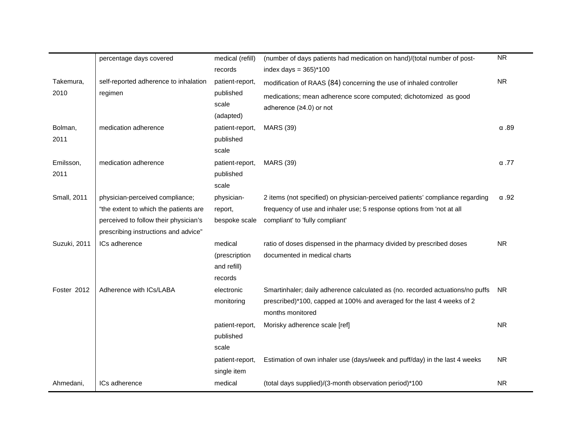|                    | percentage days covered               | medical (refill) | (number of days patients had medication on hand)/(total number of post-       | <b>NR</b>    |
|--------------------|---------------------------------------|------------------|-------------------------------------------------------------------------------|--------------|
|                    |                                       | records          | index days = $365$ <sup>*</sup> $100$                                         |              |
| Takemura,          | self-reported adherence to inhalation | patient-report,  | modification of RAAS (84) concerning the use of inhaled controller            | <b>NR</b>    |
| 2010               | regimen                               | published        | medications; mean adherence score computed; dichotomized as good              |              |
|                    |                                       | scale            | adherence (≥4.0) or not                                                       |              |
|                    |                                       | (adapted)        |                                                                               |              |
| Bolman,            | medication adherence                  | patient-report,  | <b>MARS (39)</b>                                                              | $\alpha$ .89 |
| 2011               |                                       | published        |                                                                               |              |
|                    |                                       | scale            |                                                                               |              |
| Emilsson,          | medication adherence                  | patient-report,  | <b>MARS (39)</b>                                                              | $\alpha$ .77 |
| 2011               |                                       | published        |                                                                               |              |
|                    |                                       | scale            |                                                                               |              |
| <b>Small, 2011</b> | physician-perceived compliance;       | physician-       | 2 items (not specified) on physician-perceived patients' compliance regarding | $\alpha$ .92 |
|                    | "the extent to which the patients are | report,          | frequency of use and inhaler use; 5 response options from 'not at all         |              |
|                    | perceived to follow their physician's | bespoke scale    | compliant' to 'fully compliant'                                               |              |
|                    | prescribing instructions and advice"  |                  |                                                                               |              |
| Suzuki, 2011       | ICs adherence                         | medical          | ratio of doses dispensed in the pharmacy divided by prescribed doses          | <b>NR</b>    |
|                    |                                       | (prescription    | documented in medical charts                                                  |              |
|                    |                                       | and refill)      |                                                                               |              |
|                    |                                       | records          |                                                                               |              |
| Foster 2012        | Adherence with ICs/LABA               | electronic       | Smartinhaler; daily adherence calculated as (no. recorded actuations/no puffs | <b>NR</b>    |
|                    |                                       | monitoring       | prescribed)*100, capped at 100% and averaged for the last 4 weeks of 2        |              |
|                    |                                       |                  | months monitored                                                              |              |
|                    |                                       | patient-report,  | Morisky adherence scale [ref]                                                 | <b>NR</b>    |
|                    |                                       | published        |                                                                               |              |
|                    |                                       | scale            |                                                                               |              |
|                    |                                       | patient-report,  | Estimation of own inhaler use (days/week and puff/day) in the last 4 weeks    | <b>NR</b>    |
|                    |                                       | single item      |                                                                               |              |
| Ahmedani,          | ICs adherence                         | medical          | (total days supplied)/(3-month observation period)*100                        | <b>NR</b>    |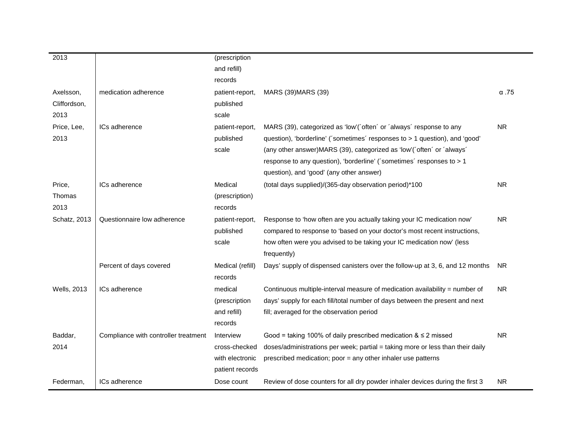| 2013                              |                                      | (prescription<br>and refill)                                     |                                                                                                                                                                                                                                                                                                                                                    |              |
|-----------------------------------|--------------------------------------|------------------------------------------------------------------|----------------------------------------------------------------------------------------------------------------------------------------------------------------------------------------------------------------------------------------------------------------------------------------------------------------------------------------------------|--------------|
|                                   |                                      | records                                                          |                                                                                                                                                                                                                                                                                                                                                    |              |
| Axelsson,<br>Cliffordson,<br>2013 | medication adherence                 | patient-report,<br>published<br>scale                            | MARS (39) MARS (39)                                                                                                                                                                                                                                                                                                                                | $\alpha$ .75 |
| Price, Lee,<br>2013               | ICs adherence                        | patient-report,<br>published<br>scale                            | MARS (39), categorized as 'low'('often' or 'always' response to any<br>question), 'borderline' ('sometimes' responses to > 1 question), and 'good'<br>(any other answer) MARS (39), categorized as 'low' ('often' or 'always'<br>response to any question), 'borderline' ('sometimes' responses to > 1<br>question), and 'good' (any other answer) | <b>NR</b>    |
| Price,<br>Thomas<br>2013          | ICs adherence                        | Medical<br>(prescription)<br>records                             | (total days supplied)/(365-day observation period)*100                                                                                                                                                                                                                                                                                             | <b>NR</b>    |
| Schatz, 2013                      | Questionnaire low adherence          | patient-report,<br>published<br>scale                            | Response to 'how often are you actually taking your IC medication now'<br>compared to response to 'based on your doctor's most recent instructions,<br>how often were you advised to be taking your IC medication now' (less<br>frequently)                                                                                                        | <b>NR</b>    |
|                                   | Percent of days covered              | Medical (refill)<br>records                                      | Days' supply of dispensed canisters over the follow-up at 3, 6, and 12 months                                                                                                                                                                                                                                                                      | <b>NR</b>    |
| <b>Wells, 2013</b>                | ICs adherence                        | medical<br>(prescription<br>and refill)<br>records               | Continuous multiple-interval measure of medication availability = number of<br>days' supply for each fill/total number of days between the present and next<br>fill; averaged for the observation period                                                                                                                                           | NR.          |
| Baddar,<br>2014                   | Compliance with controller treatment | Interview<br>cross-checked<br>with electronic<br>patient records | Good = taking 100% of daily prescribed medication $\&$ $\leq$ 2 missed<br>doses/administrations per week; partial = taking more or less than their daily<br>prescribed medication; poor = any other inhaler use patterns                                                                                                                           | <b>NR</b>    |
| Federman,                         | ICs adherence                        | Dose count                                                       | Review of dose counters for all dry powder inhaler devices during the first 3                                                                                                                                                                                                                                                                      | NR.          |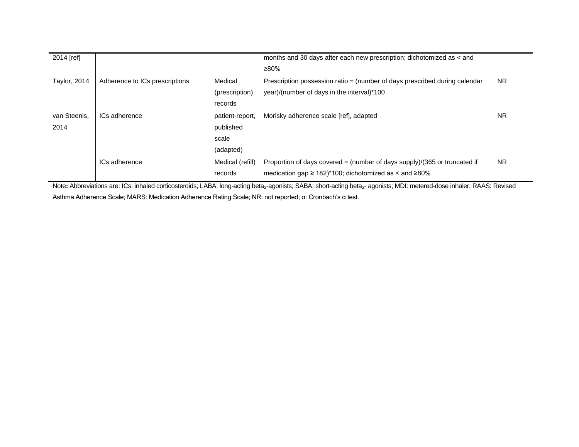| 2014 [ref]           |                                |                                                    | months and 30 days after each new prescription; dichotomized as < and<br>≥80%                                                                      |           |
|----------------------|--------------------------------|----------------------------------------------------|----------------------------------------------------------------------------------------------------------------------------------------------------|-----------|
| Taylor, 2014         | Adherence to ICs prescriptions | Medical<br>(prescription)<br>records               | Prescription possession ratio = (number of days prescribed during calendar<br>year)/(number of days in the interval)*100                           | <b>NR</b> |
| van Steenis.<br>2014 | ICs adherence                  | patient-report,<br>published<br>scale<br>(adapted) | Morisky adherence scale [ref], adapted                                                                                                             | <b>NR</b> |
|                      | ICs adherence                  | Medical (refill)<br>records                        | Proportion of days covered = (number of days supply)/(365 or truncated if<br>medication gap $\geq$ 182)*100; dichotomized as $\leq$ and $\geq$ 80% | <b>NR</b> |

Note: Abbreviations are: ICs: inhaled corticosteroids; LABA: long-acting beta<sub>2</sub>-agonists; SABA: short-acting beta<sub>2</sub>- agonists; MDI: metered-dose inhaler; RAAS: Revised Asthma Adherence Scale; MARS: Medication Adherence Rating Scale; NR: not reported; α: Cronbach's α test.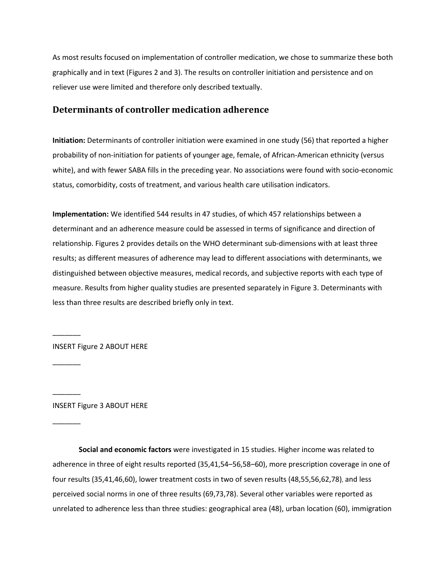As most results focused on implementation of controller medication, we chose to summarize these both graphically and in text (Figures 2 and 3). The results on controller initiation and persistence and on reliever use were limited and therefore only described textually.

## **Determinants of controller medication adherence**

**Initiation:** Determinants of controller initiation were examined in one study (56) that reported a higher probability of non-initiation for patients of younger age, female, of African-American ethnicity (versus white), and with fewer SABA fills in the preceding year. No associations were found with socio-economic status, comorbidity, costs of treatment, and various health care utilisation indicators.

**Implementation:** We identified 544 results in 47 studies, of which 457 relationships between a determinant and an adherence measure could be assessed in terms of significance and direction of relationship. Figures 2 provides details on the WHO determinant sub-dimensions with at least three results; as different measures of adherence may lead to different associations with determinants, we distinguished between objective measures, medical records, and subjective reports with each type of measure. Results from higher quality studies are presented separately in Figure 3. Determinants with less than three results are described briefly only in text.

INSERT Figure 2 ABOUT HERE

 $\overline{\phantom{a}}$ 

 $\overline{\phantom{a}}$ 

 $\overline{\phantom{a}}$ 

 $\overline{\phantom{a}}$ 

INSERT Figure 3 ABOUT HERE

**Social and economic factors** were investigated in 15 studies. Higher income was related to adherence in three of eight results reported (35,41,54–56,58–60), more prescription coverage in one of four results (35,41,46,60), lower treatment costs in two of seven results (48,55,56,62,78), and less perceived social norms in one of three results (69,73,78). Several other variables were reported as unrelated to adherence less than three studies: geographical area (48), urban location (60), immigration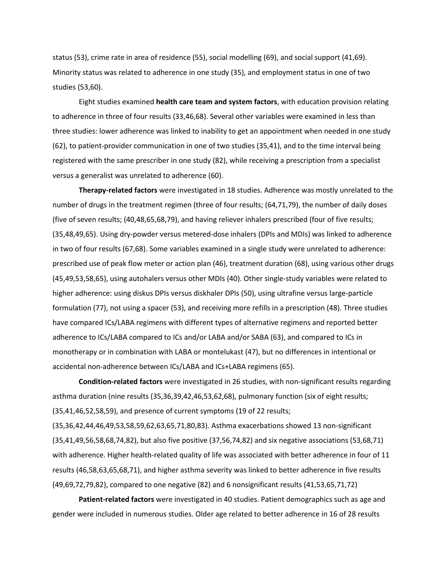status (53), crime rate in area of residence (55), social modelling (69), and social support (41,69). Minority status was related to adherence in one study (35), and employment status in one of two studies (53,60).

Eight studies examined **health care team and system factors**, with education provision relating to adherence in three of four results (33,46,68). Several other variables were examined in less than three studies: lower adherence was linked to inability to get an appointment when needed in one study (62), to patient-provider communication in one of two studies (35,41), and to the time interval being registered with the same prescriber in one study (82), while receiving a prescription from a specialist versus a generalist was unrelated to adherence (60).

**Therapy-related factors** were investigated in 18 studies. Adherence was mostly unrelated to the number of drugs in the treatment regimen (three of four results; (64,71,79), the number of daily doses (five of seven results; (40,48,65,68,79), and having reliever inhalers prescribed (four of five results; (35,48,49,65). Using dry-powder versus metered-dose inhalers (DPIs and MDIs) was linked to adherence in two of four results (67,68). Some variables examined in a single study were unrelated to adherence: prescribed use of peak flow meter or action plan (46), treatment duration (68), using various other drugs (45,49,53,58,65), using autohalers versus other MDIs (40). Other single-study variables were related to higher adherence: using diskus DPIs versus diskhaler DPIs (50), using ultrafine versus large-particle formulation (77), not using a spacer (53), and receiving more refills in a prescription (48). Three studies have compared ICs/LABA regimens with different types of alternative regimens and reported better adherence to ICs/LABA compared to ICs and/or LABA and/or SABA (63), and compared to ICs in monotherapy or in combination with LABA or montelukast (47), but no differences in intentional or accidental non-adherence between ICs/LABA and ICs+LABA regimens (65).

**Condition-related factors** were investigated in 26 studies, with non-significant results regarding asthma duration (nine results (35,36,39,42,46,53,62,68), pulmonary function (six of eight results; (35,41,46,52,58,59), and presence of current symptoms (19 of 22 results; (35,36,42,44,46,49,53,58,59,62,63,65,71,80,83). Asthma exacerbations showed 13 non-significant (35,41,49,56,58,68,74,82), but also five positive (37,56,74,82) and six negative associations (53,68,71) with adherence. Higher health-related quality of life was associated with better adherence in four of 11 results (46,58,63,65,68,71), and higher asthma severity was linked to better adherence in five results (49,69,72,79,82), compared to one negative (82) and 6 nonsignificant results (41,53,65,71,72)

**Patient-related factors** were investigated in 40 studies. Patient demographics such as age and gender were included in numerous studies. Older age related to better adherence in 16 of 28 results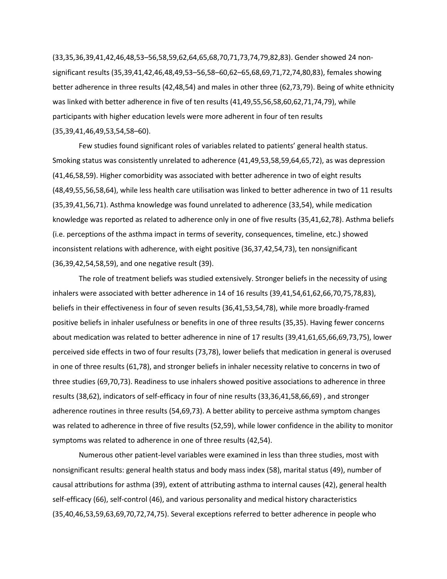(33,35,36,39,41,42,46,48,53–56,58,59,62,64,65,68,70,71,73,74,79,82,83). Gender showed 24 nonsignificant results (35,39,41,42,46,48,49,53–56,58–60,62–65,68,69,71,72,74,80,83), females showing better adherence in three results (42,48,54) and males in other three (62,73,79). Being of white ethnicity was linked with better adherence in five of ten results (41,49,55,56,58,60,62,71,74,79), while participants with higher education levels were more adherent in four of ten results (35,39,41,46,49,53,54,58–60).

Few studies found significant roles of variables related to patients' general health status. Smoking status was consistently unrelated to adherence (41,49,53,58,59,64,65,72), as was depression (41,46,58,59). Higher comorbidity was associated with better adherence in two of eight results (48,49,55,56,58,64), while less health care utilisation was linked to better adherence in two of 11 results (35,39,41,56,71). Asthma knowledge was found unrelated to adherence (33,54), while medication knowledge was reported as related to adherence only in one of five results (35,41,62,78). Asthma beliefs (i.e. perceptions of the asthma impact in terms of severity, consequences, timeline, etc.) showed inconsistent relations with adherence, with eight positive (36,37,42,54,73), ten nonsignificant (36,39,42,54,58,59), and one negative result (39).

The role of treatment beliefs was studied extensively. Stronger beliefs in the necessity of using inhalers were associated with better adherence in 14 of 16 results (39,41,54,61,62,66,70,75,78,83), beliefs in their effectiveness in four of seven results (36,41,53,54,78), while more broadly-framed positive beliefs in inhaler usefulness or benefits in one of three results (35,35). Having fewer concerns about medication was related to better adherence in nine of 17 results (39,41,61,65,66,69,73,75), lower perceived side effects in two of four results (73,78), lower beliefs that medication in general is overused in one of three results (61,78), and stronger beliefs in inhaler necessity relative to concerns in two of three studies (69,70,73). Readiness to use inhalers showed positive associations to adherence in three results (38,62), indicators of self-efficacy in four of nine results (33,36,41,58,66,69) , and stronger adherence routines in three results (54,69,73). A better ability to perceive asthma symptom changes was related to adherence in three of five results (52,59), while lower confidence in the ability to monitor symptoms was related to adherence in one of three results (42,54).

Numerous other patient-level variables were examined in less than three studies, most with nonsignificant results: general health status and body mass index (58), marital status (49), number of causal attributions for asthma (39), extent of attributing asthma to internal causes (42), general health self-efficacy (66), self-control (46), and various personality and medical history characteristics (35,40,46,53,59,63,69,70,72,74,75). Several exceptions referred to better adherence in people who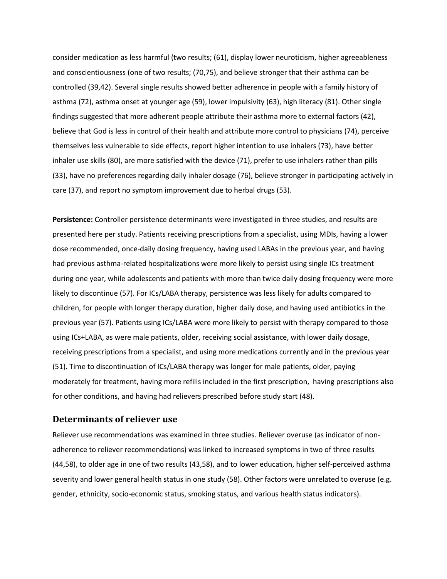consider medication as less harmful (two results; (61), display lower neuroticism, higher agreeableness and conscientiousness (one of two results; (70,75), and believe stronger that their asthma can be controlled (39,42). Several single results showed better adherence in people with a family history of asthma (72), asthma onset at younger age (59), lower impulsivity (63), high literacy (81). Other single findings suggested that more adherent people attribute their asthma more to external factors (42), believe that God is less in control of their health and attribute more control to physicians (74), perceive themselves less vulnerable to side effects, report higher intention to use inhalers (73), have better inhaler use skills (80), are more satisfied with the device (71), prefer to use inhalers rather than pills (33), have no preferences regarding daily inhaler dosage (76), believe stronger in participating actively in care (37), and report no symptom improvement due to herbal drugs (53).

**Persistence:** Controller persistence determinants were investigated in three studies, and results are presented here per study. Patients receiving prescriptions from a specialist, using MDIs, having a lower dose recommended, once-daily dosing frequency, having used LABAs in the previous year, and having had previous asthma-related hospitalizations were more likely to persist using single ICs treatment during one year, while adolescents and patients with more than twice daily dosing frequency were more likely to discontinue (57). For ICs/LABA therapy, persistence was less likely for adults compared to children, for people with longer therapy duration, higher daily dose, and having used antibiotics in the previous year (57). Patients using ICs/LABA were more likely to persist with therapy compared to those using ICs+LABA, as were male patients, older, receiving social assistance, with lower daily dosage, receiving prescriptions from a specialist, and using more medications currently and in the previous year (51). Time to discontinuation of ICs/LABA therapy was longer for male patients, older, paying moderately for treatment, having more refills included in the first prescription, having prescriptions also for other conditions, and having had relievers prescribed before study start (48).

#### **Determinants of reliever use**

Reliever use recommendations was examined in three studies. Reliever overuse (as indicator of nonadherence to reliever recommendations) was linked to increased symptoms in two of three results (44,58), to older age in one of two results (43,58), and to lower education, higher self-perceived asthma severity and lower general health status in one study (58). Other factors were unrelated to overuse (e.g. gender, ethnicity, socio-economic status, smoking status, and various health status indicators).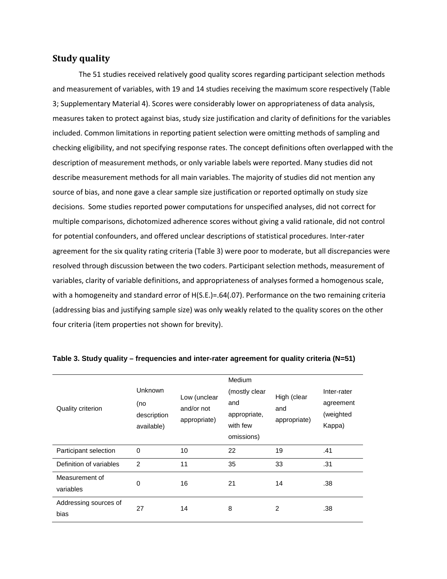### **Study quality**

The 51 studies received relatively good quality scores regarding participant selection methods and measurement of variables, with 19 and 14 studies receiving the maximum score respectively (Table 3; Supplementary Material 4). Scores were considerably lower on appropriateness of data analysis, measures taken to protect against bias, study size justification and clarity of definitions for the variables included. Common limitations in reporting patient selection were omitting methods of sampling and checking eligibility, and not specifying response rates. The concept definitions often overlapped with the description of measurement methods, or only variable labels were reported. Many studies did not describe measurement methods for all main variables. The majority of studies did not mention any source of bias, and none gave a clear sample size justification or reported optimally on study size decisions. Some studies reported power computations for unspecified analyses, did not correct for multiple comparisons, dichotomized adherence scores without giving a valid rationale, did not control for potential confounders, and offered unclear descriptions of statistical procedures. Inter-rater agreement for the six quality rating criteria (Table 3) were poor to moderate, but all discrepancies were resolved through discussion between the two coders. Participant selection methods, measurement of variables, clarity of variable definitions, and appropriateness of analyses formed a homogenous scale, with a homogeneity and standard error of H(S.E.)=.64(.07). Performance on the two remaining criteria (addressing bias and justifying sample size) was only weakly related to the quality scores on the other four criteria (item properties not shown for brevity).

| <b>Quality criterion</b>      | <b>Unknown</b><br>(no<br>description<br>available) | Low (unclear<br>and/or not<br>appropriate) | Medium<br>(mostly clear<br>and<br>appropriate,<br>with few<br>omissions) | High (clear<br>and<br>appropriate) | Inter-rater<br>agreement<br>(weighted<br>Kappa) |
|-------------------------------|----------------------------------------------------|--------------------------------------------|--------------------------------------------------------------------------|------------------------------------|-------------------------------------------------|
| Participant selection         | 0                                                  | 10                                         | 22                                                                       | 19                                 | .41                                             |
| Definition of variables       | $\overline{2}$                                     | 11                                         | 35                                                                       | 33                                 | .31                                             |
| Measurement of<br>variables   | 0                                                  | 16                                         | 21                                                                       | 14                                 | .38                                             |
| Addressing sources of<br>bias | 27                                                 | 14                                         | 8                                                                        | 2                                  | .38                                             |

#### **Table 3. Study quality – frequencies and inter-rater agreement for quality criteria (N=51)**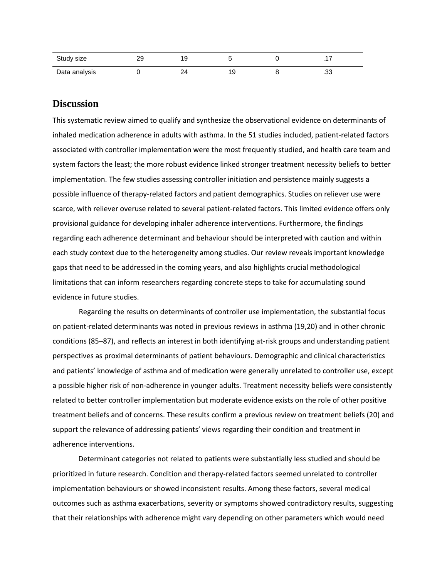| Study size    | ററ<br>ت | l a |    |         |
|---------------|---------|-----|----|---------|
| Data analysis |         |     | 19 | ົ<br>.ט |

## **Discussion**

This systematic review aimed to qualify and synthesize the observational evidence on determinants of inhaled medication adherence in adults with asthma. In the 51 studies included, patient-related factors associated with controller implementation were the most frequently studied, and health care team and system factors the least; the more robust evidence linked stronger treatment necessity beliefs to better implementation. The few studies assessing controller initiation and persistence mainly suggests a possible influence of therapy-related factors and patient demographics. Studies on reliever use were scarce, with reliever overuse related to several patient-related factors. This limited evidence offers only provisional guidance for developing inhaler adherence interventions. Furthermore, the findings regarding each adherence determinant and behaviour should be interpreted with caution and within each study context due to the heterogeneity among studies. Our review reveals important knowledge gaps that need to be addressed in the coming years, and also highlights crucial methodological limitations that can inform researchers regarding concrete steps to take for accumulating sound evidence in future studies.

Regarding the results on determinants of controller use implementation, the substantial focus on patient-related determinants was noted in previous reviews in asthma (19,20) and in other chronic conditions (85–87), and reflects an interest in both identifying at-risk groups and understanding patient perspectives as proximal determinants of patient behaviours. Demographic and clinical characteristics and patients' knowledge of asthma and of medication were generally unrelated to controller use, except a possible higher risk of non-adherence in younger adults. Treatment necessity beliefs were consistently related to better controller implementation but moderate evidence exists on the role of other positive treatment beliefs and of concerns. These results confirm a previous review on treatment beliefs (20) and support the relevance of addressing patients' views regarding their condition and treatment in adherence interventions.

Determinant categories not related to patients were substantially less studied and should be prioritized in future research. Condition and therapy-related factors seemed unrelated to controller implementation behaviours or showed inconsistent results. Among these factors, several medical outcomes such as asthma exacerbations, severity or symptoms showed contradictory results, suggesting that their relationships with adherence might vary depending on other parameters which would need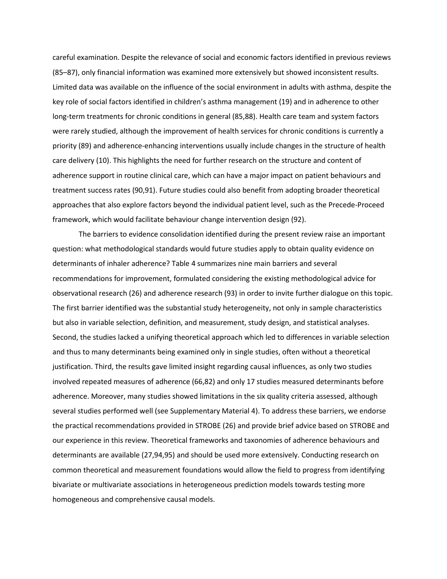careful examination. Despite the relevance of social and economic factors identified in previous reviews (85–87), only financial information was examined more extensively but showed inconsistent results. Limited data was available on the influence of the social environment in adults with asthma, despite the key role of social factors identified in children's asthma management (19) and in adherence to other long-term treatments for chronic conditions in general (85,88). Health care team and system factors were rarely studied, although the improvement of health services for chronic conditions is currently a priority (89) and adherence-enhancing interventions usually include changes in the structure of health care delivery (10). This highlights the need for further research on the structure and content of adherence support in routine clinical care, which can have a major impact on patient behaviours and treatment success rates (90,91). Future studies could also benefit from adopting broader theoretical approaches that also explore factors beyond the individual patient level, such as the Precede-Proceed framework, which would facilitate behaviour change intervention design (92).

The barriers to evidence consolidation identified during the present review raise an important question: what methodological standards would future studies apply to obtain quality evidence on determinants of inhaler adherence? Table 4 summarizes nine main barriers and several recommendations for improvement, formulated considering the existing methodological advice for observational research (26) and adherence research (93) in order to invite further dialogue on this topic. The first barrier identified was the substantial study heterogeneity, not only in sample characteristics but also in variable selection, definition, and measurement, study design, and statistical analyses. Second, the studies lacked a unifying theoretical approach which led to differences in variable selection and thus to many determinants being examined only in single studies, often without a theoretical justification. Third, the results gave limited insight regarding causal influences, as only two studies involved repeated measures of adherence (66,82) and only 17 studies measured determinants before adherence. Moreover, many studies showed limitations in the six quality criteria assessed, although several studies performed well (see Supplementary Material 4). To address these barriers, we endorse the practical recommendations provided in STROBE (26) and provide brief advice based on STROBE and our experience in this review. Theoretical frameworks and taxonomies of adherence behaviours and determinants are available (27,94,95) and should be used more extensively. Conducting research on common theoretical and measurement foundations would allow the field to progress from identifying bivariate or multivariate associations in heterogeneous prediction models towards testing more homogeneous and comprehensive causal models.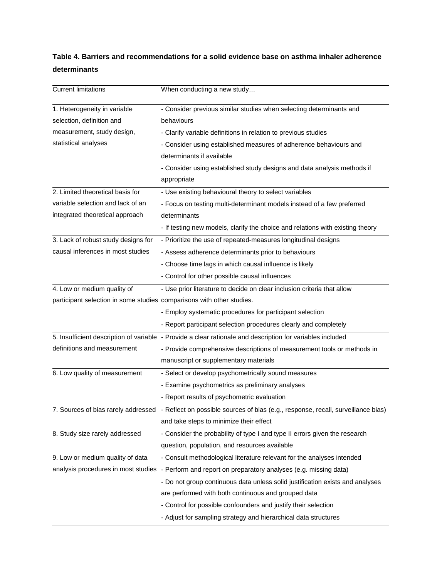# **Table 4. Barriers and recommendations for a solid evidence base on asthma inhaler adherence determinants**

| <b>Current limitations</b>                                            | When conducting a new study                                                                                           |  |  |  |
|-----------------------------------------------------------------------|-----------------------------------------------------------------------------------------------------------------------|--|--|--|
| 1. Heterogeneity in variable                                          | - Consider previous similar studies when selecting determinants and                                                   |  |  |  |
| selection, definition and                                             | behaviours                                                                                                            |  |  |  |
| measurement, study design,                                            | - Clarify variable definitions in relation to previous studies                                                        |  |  |  |
| statistical analyses                                                  | - Consider using established measures of adherence behaviours and                                                     |  |  |  |
|                                                                       | determinants if available                                                                                             |  |  |  |
|                                                                       | - Consider using established study designs and data analysis methods if                                               |  |  |  |
|                                                                       | appropriate                                                                                                           |  |  |  |
| 2. Limited theoretical basis for                                      | - Use existing behavioural theory to select variables                                                                 |  |  |  |
| variable selection and lack of an                                     | - Focus on testing multi-determinant models instead of a few preferred                                                |  |  |  |
| integrated theoretical approach                                       | determinants                                                                                                          |  |  |  |
|                                                                       | - If testing new models, clarify the choice and relations with existing theory                                        |  |  |  |
| 3. Lack of robust study designs for                                   | - Prioritize the use of repeated-measures longitudinal designs                                                        |  |  |  |
| causal inferences in most studies                                     | - Assess adherence determinants prior to behaviours                                                                   |  |  |  |
|                                                                       | - Choose time lags in which causal influence is likely                                                                |  |  |  |
|                                                                       | - Control for other possible causal influences                                                                        |  |  |  |
| 4. Low or medium quality of                                           | - Use prior literature to decide on clear inclusion criteria that allow                                               |  |  |  |
| participant selection in some studies comparisons with other studies. |                                                                                                                       |  |  |  |
|                                                                       | - Employ systematic procedures for participant selection                                                              |  |  |  |
|                                                                       | - Report participant selection procedures clearly and completely                                                      |  |  |  |
|                                                                       | 5. Insufficient description of variable - Provide a clear rationale and description for variables included            |  |  |  |
| definitions and measurement                                           | - Provide comprehensive descriptions of measurement tools or methods in                                               |  |  |  |
|                                                                       | manuscript or supplementary materials                                                                                 |  |  |  |
| 6. Low quality of measurement                                         | - Select or develop psychometrically sound measures                                                                   |  |  |  |
|                                                                       | - Examine psychometrics as preliminary analyses                                                                       |  |  |  |
|                                                                       | - Report results of psychometric evaluation                                                                           |  |  |  |
|                                                                       | 7. Sources of bias rarely addressed - Reflect on possible sources of bias (e.g., response, recall, surveillance bias) |  |  |  |
|                                                                       | and take steps to minimize their effect                                                                               |  |  |  |
| 8. Study size rarely addressed                                        | - Consider the probability of type I and type II errors given the research                                            |  |  |  |
|                                                                       | question, population, and resources available                                                                         |  |  |  |
| 9. Low or medium quality of data                                      | - Consult methodological literature relevant for the analyses intended                                                |  |  |  |
| analysis procedures in most studies                                   | - Perform and report on preparatory analyses (e.g. missing data)                                                      |  |  |  |
|                                                                       | - Do not group continuous data unless solid justification exists and analyses                                         |  |  |  |
|                                                                       | are performed with both continuous and grouped data                                                                   |  |  |  |
|                                                                       | - Control for possible confounders and justify their selection                                                        |  |  |  |
|                                                                       | - Adjust for sampling strategy and hierarchical data structures                                                       |  |  |  |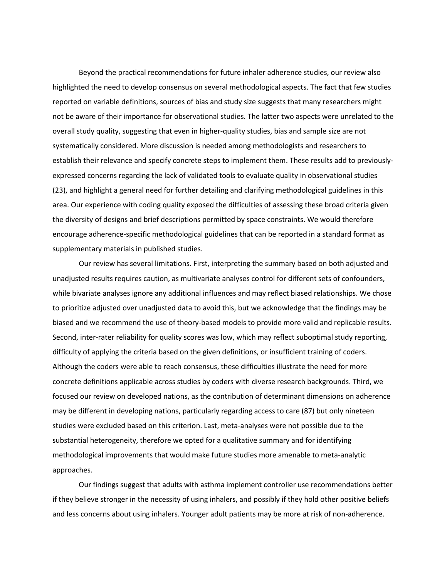Beyond the practical recommendations for future inhaler adherence studies, our review also highlighted the need to develop consensus on several methodological aspects. The fact that few studies reported on variable definitions, sources of bias and study size suggests that many researchers might not be aware of their importance for observational studies. The latter two aspects were unrelated to the overall study quality, suggesting that even in higher-quality studies, bias and sample size are not systematically considered. More discussion is needed among methodologists and researchers to establish their relevance and specify concrete steps to implement them. These results add to previouslyexpressed concerns regarding the lack of validated tools to evaluate quality in observational studies (23), and highlight a general need for further detailing and clarifying methodological guidelines in this area. Our experience with coding quality exposed the difficulties of assessing these broad criteria given the diversity of designs and brief descriptions permitted by space constraints. We would therefore encourage adherence-specific methodological guidelines that can be reported in a standard format as supplementary materials in published studies.

Our review has several limitations. First, interpreting the summary based on both adjusted and unadjusted results requires caution, as multivariate analyses control for different sets of confounders, while bivariate analyses ignore any additional influences and may reflect biased relationships. We chose to prioritize adjusted over unadjusted data to avoid this, but we acknowledge that the findings may be biased and we recommend the use of theory-based models to provide more valid and replicable results. Second, inter-rater reliability for quality scores was low, which may reflect suboptimal study reporting, difficulty of applying the criteria based on the given definitions, or insufficient training of coders. Although the coders were able to reach consensus, these difficulties illustrate the need for more concrete definitions applicable across studies by coders with diverse research backgrounds. Third, we focused our review on developed nations, as the contribution of determinant dimensions on adherence may be different in developing nations, particularly regarding access to care (87) but only nineteen studies were excluded based on this criterion. Last, meta-analyses were not possible due to the substantial heterogeneity, therefore we opted for a qualitative summary and for identifying methodological improvements that would make future studies more amenable to meta-analytic approaches.

Our findings suggest that adults with asthma implement controller use recommendations better if they believe stronger in the necessity of using inhalers, and possibly if they hold other positive beliefs and less concerns about using inhalers. Younger adult patients may be more at risk of non-adherence.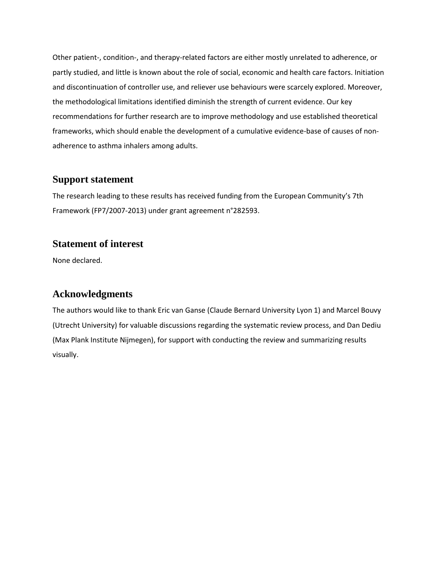Other patient-, condition-, and therapy-related factors are either mostly unrelated to adherence, or partly studied, and little is known about the role of social, economic and health care factors. Initiation and discontinuation of controller use, and reliever use behaviours were scarcely explored. Moreover, the methodological limitations identified diminish the strength of current evidence. Our key recommendations for further research are to improve methodology and use established theoretical frameworks, which should enable the development of a cumulative evidence-base of causes of nonadherence to asthma inhalers among adults.

## **Support statement**

The research leading to these results has received funding from the European Community's 7th Framework (FP7/2007-2013) under grant agreement n°282593.

# **Statement of interest**

None declared.

# **Acknowledgments**

The authors would like to thank Eric van Ganse (Claude Bernard University Lyon 1) and Marcel Bouvy (Utrecht University) for valuable discussions regarding the systematic review process, and Dan Dediu (Max Plank Institute Nijmegen), for support with conducting the review and summarizing results visually.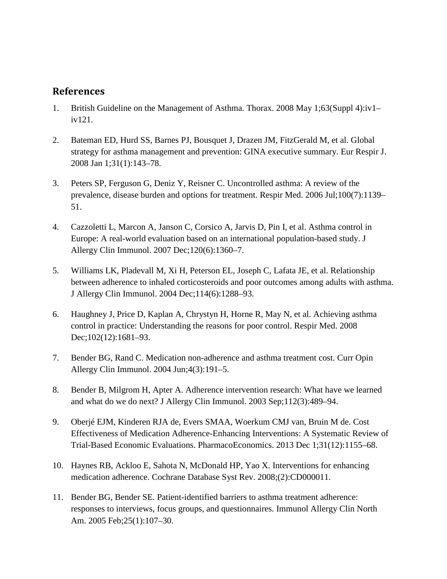# **References**

- 1. British Guideline on the Management of Asthma. Thorax. 2008 May 1;63(Suppl 4):iv1– iv121.
- 2. Bateman ED, Hurd SS, Barnes PJ, Bousquet J, Drazen JM, FitzGerald M, et al. Global strategy for asthma management and prevention: GINA executive summary. Eur Respir J. 2008 Jan 1;31(1):143–78.
- 3. Peters SP, Ferguson G, Deniz Y, Reisner C. Uncontrolled asthma: A review of the prevalence, disease burden and options for treatment. Respir Med. 2006 Jul;100(7):1139– 51.
- 4. Cazzoletti L, Marcon A, Janson C, Corsico A, Jarvis D, Pin I, et al. Asthma control in Europe: A real-world evaluation based on an international population-based study. J Allergy Clin Immunol. 2007 Dec;120(6):1360–7.
- 5. Williams LK, Pladevall M, Xi H, Peterson EL, Joseph C, Lafata JE, et al. Relationship between adherence to inhaled corticosteroids and poor outcomes among adults with asthma. J Allergy Clin Immunol. 2004 Dec;114(6):1288–93.
- 6. Haughney J, Price D, Kaplan A, Chrystyn H, Horne R, May N, et al. Achieving asthma control in practice: Understanding the reasons for poor control. Respir Med. 2008 Dec;102(12):1681-93.
- 7. Bender BG, Rand C. Medication non-adherence and asthma treatment cost. Curr Opin Allergy Clin Immunol. 2004 Jun;4(3):191–5.
- 8. Bender B, Milgrom H, Apter A. Adherence intervention research: What have we learned and what do we do next? J Allergy Clin Immunol. 2003 Sep;112(3):489–94.
- 9. Oberjé EJM, Kinderen RJA de, Evers SMAA, Woerkum CMJ van, Bruin M de. Cost Effectiveness of Medication Adherence-Enhancing Interventions: A Systematic Review of Trial-Based Economic Evaluations. PharmacoEconomics. 2013 Dec 1;31(12):1155–68.
- 10. Haynes RB, Ackloo E, Sahota N, McDonald HP, Yao X. Interventions for enhancing medication adherence. Cochrane Database Syst Rev. 2008;(2):CD000011.
- 11. Bender BG, Bender SE. Patient-identified barriers to asthma treatment adherence: responses to interviews, focus groups, and questionnaires. Immunol Allergy Clin North Am. 2005 Feb;25(1):107–30.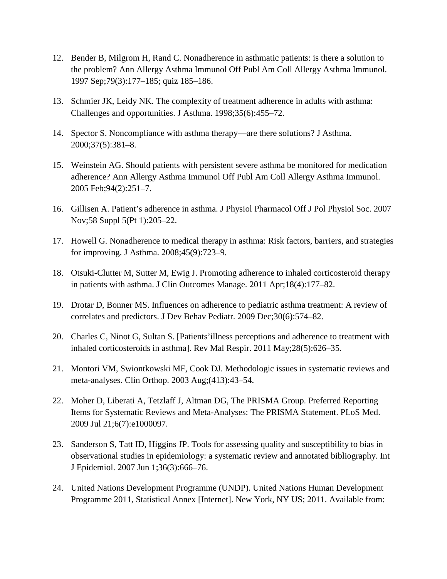- 12. Bender B, Milgrom H, Rand C. Nonadherence in asthmatic patients: is there a solution to the problem? Ann Allergy Asthma Immunol Off Publ Am Coll Allergy Asthma Immunol. 1997 Sep;79(3):177–185; quiz 185–186.
- 13. Schmier JK, Leidy NK. The complexity of treatment adherence in adults with asthma: Challenges and opportunities. J Asthma. 1998;35(6):455–72.
- 14. Spector S. Noncompliance with asthma therapy—are there solutions? J Asthma. 2000;37(5):381–8.
- 15. Weinstein AG. Should patients with persistent severe asthma be monitored for medication adherence? Ann Allergy Asthma Immunol Off Publ Am Coll Allergy Asthma Immunol. 2005 Feb;94(2):251–7.
- 16. Gillisen A. Patient's adherence in asthma. J Physiol Pharmacol Off J Pol Physiol Soc. 2007 Nov;58 Suppl 5(Pt 1):205–22.
- 17. Howell G. Nonadherence to medical therapy in asthma: Risk factors, barriers, and strategies for improving. J Asthma. 2008;45(9):723–9.
- 18. Otsuki-Clutter M, Sutter M, Ewig J. Promoting adherence to inhaled corticosteroid therapy in patients with asthma. J Clin Outcomes Manage. 2011 Apr;18(4):177–82.
- 19. Drotar D, Bonner MS. Influences on adherence to pediatric asthma treatment: A review of correlates and predictors. J Dev Behav Pediatr. 2009 Dec;30(6):574–82.
- 20. Charles C, Ninot G, Sultan S. [Patients'illness perceptions and adherence to treatment with inhaled corticosteroids in asthma]. Rev Mal Respir. 2011 May;28(5):626–35.
- 21. Montori VM, Swiontkowski MF, Cook DJ. Methodologic issues in systematic reviews and meta-analyses. Clin Orthop. 2003 Aug;(413):43–54.
- 22. Moher D, Liberati A, Tetzlaff J, Altman DG, The PRISMA Group. Preferred Reporting Items for Systematic Reviews and Meta-Analyses: The PRISMA Statement. PLoS Med. 2009 Jul 21;6(7):e1000097.
- 23. Sanderson S, Tatt ID, Higgins JP. Tools for assessing quality and susceptibility to bias in observational studies in epidemiology: a systematic review and annotated bibliography. Int J Epidemiol. 2007 Jun 1;36(3):666–76.
- 24. United Nations Development Programme (UNDP). United Nations Human Development Programme 2011, Statistical Annex [Internet]. New York, NY US; 2011. Available from: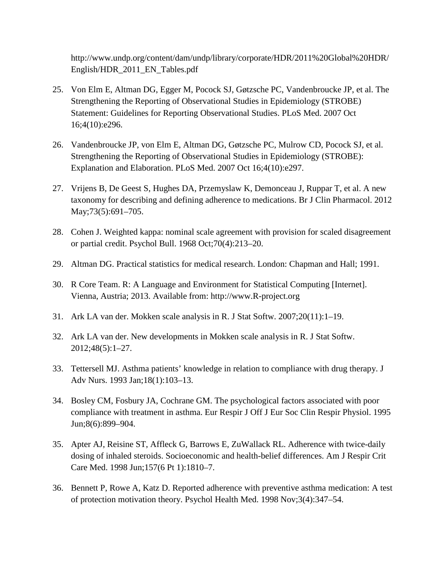http://www.undp.org/content/dam/undp/library/corporate/HDR/2011%20Global%20HDR/ English/HDR\_2011\_EN\_Tables.pdf

- 25. Von Elm E, Altman DG, Egger M, Pocock SJ, Gøtzsche PC, Vandenbroucke JP, et al. The Strengthening the Reporting of Observational Studies in Epidemiology (STROBE) Statement: Guidelines for Reporting Observational Studies. PLoS Med. 2007 Oct 16;4(10):e296.
- 26. Vandenbroucke JP, von Elm E, Altman DG, Gøtzsche PC, Mulrow CD, Pocock SJ, et al. Strengthening the Reporting of Observational Studies in Epidemiology (STROBE): Explanation and Elaboration. PLoS Med. 2007 Oct 16;4(10):e297.
- 27. Vrijens B, De Geest S, Hughes DA, Przemyslaw K, Demonceau J, Ruppar T, et al. A new taxonomy for describing and defining adherence to medications. Br J Clin Pharmacol. 2012 May; 73(5): 691 – 705.
- 28. Cohen J. Weighted kappa: nominal scale agreement with provision for scaled disagreement or partial credit. Psychol Bull. 1968 Oct;70(4):213–20.
- 29. Altman DG. Practical statistics for medical research. London: Chapman and Hall; 1991.
- 30. R Core Team. R: A Language and Environment for Statistical Computing [Internet]. Vienna, Austria; 2013. Available from: http://www.R-project.org
- 31. Ark LA van der. Mokken scale analysis in R. J Stat Softw. 2007;20(11):1–19.
- 32. Ark LA van der. New developments in Mokken scale analysis in R. J Stat Softw. 2012;48(5):1–27.
- 33. Tettersell MJ. Asthma patients' knowledge in relation to compliance with drug therapy. J Adv Nurs. 1993 Jan;18(1):103–13.
- 34. Bosley CM, Fosbury JA, Cochrane GM. The psychological factors associated with poor compliance with treatment in asthma. Eur Respir J Off J Eur Soc Clin Respir Physiol. 1995 Jun;8(6):899–904.
- 35. Apter AJ, Reisine ST, Affleck G, Barrows E, ZuWallack RL. Adherence with twice-daily dosing of inhaled steroids. Socioeconomic and health-belief differences. Am J Respir Crit Care Med. 1998 Jun;157(6 Pt 1):1810–7.
- 36. Bennett P, Rowe A, Katz D. Reported adherence with preventive asthma medication: A test of protection motivation theory. Psychol Health Med. 1998 Nov;3(4):347–54.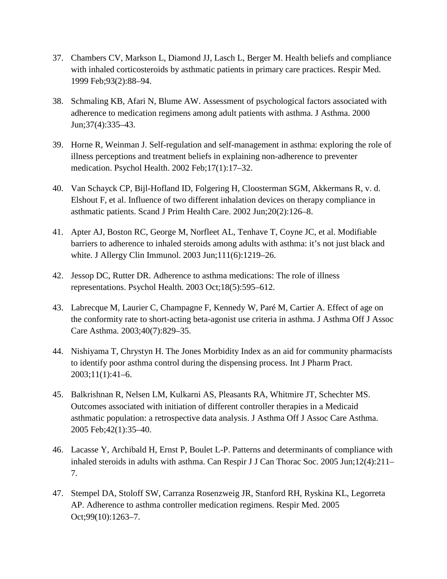- 37. Chambers CV, Markson L, Diamond JJ, Lasch L, Berger M. Health beliefs and compliance with inhaled corticosteroids by asthmatic patients in primary care practices. Respir Med. 1999 Feb;93(2):88–94.
- 38. Schmaling KB, Afari N, Blume AW. Assessment of psychological factors associated with adherence to medication regimens among adult patients with asthma. J Asthma. 2000 Jun;37(4):335–43.
- 39. Horne R, Weinman J. Self-regulation and self-management in asthma: exploring the role of illness perceptions and treatment beliefs in explaining non-adherence to preventer medication. Psychol Health. 2002 Feb;17(1):17–32.
- 40. Van Schayck CP, Bijl-Hofland ID, Folgering H, Cloosterman SGM, Akkermans R, v. d. Elshout F, et al. Influence of two different inhalation devices on therapy compliance in asthmatic patients. Scand J Prim Health Care. 2002 Jun;20(2):126–8.
- 41. Apter AJ, Boston RC, George M, Norfleet AL, Tenhave T, Coyne JC, et al. Modifiable barriers to adherence to inhaled steroids among adults with asthma: it's not just black and white. J Allergy Clin Immunol. 2003 Jun;111(6):1219–26.
- 42. Jessop DC, Rutter DR. Adherence to asthma medications: The role of illness representations. Psychol Health. 2003 Oct;18(5):595–612.
- 43. Labrecque M, Laurier C, Champagne F, Kennedy W, Paré M, Cartier A. Effect of age on the conformity rate to short-acting beta-agonist use criteria in asthma. J Asthma Off J Assoc Care Asthma. 2003;40(7):829–35.
- 44. Nishiyama T, Chrystyn H. The Jones Morbidity Index as an aid for community pharmacists to identify poor asthma control during the dispensing process. Int J Pharm Pract. 2003;11(1):41–6.
- 45. Balkrishnan R, Nelsen LM, Kulkarni AS, Pleasants RA, Whitmire JT, Schechter MS. Outcomes associated with initiation of different controller therapies in a Medicaid asthmatic population: a retrospective data analysis. J Asthma Off J Assoc Care Asthma. 2005 Feb;42(1):35–40.
- 46. Lacasse Y, Archibald H, Ernst P, Boulet L-P. Patterns and determinants of compliance with inhaled steroids in adults with asthma. Can Respir J J Can Thorac Soc. 2005 Jun;12(4):211– 7.
- 47. Stempel DA, Stoloff SW, Carranza Rosenzweig JR, Stanford RH, Ryskina KL, Legorreta AP. Adherence to asthma controller medication regimens. Respir Med. 2005 Oct;99(10):1263–7.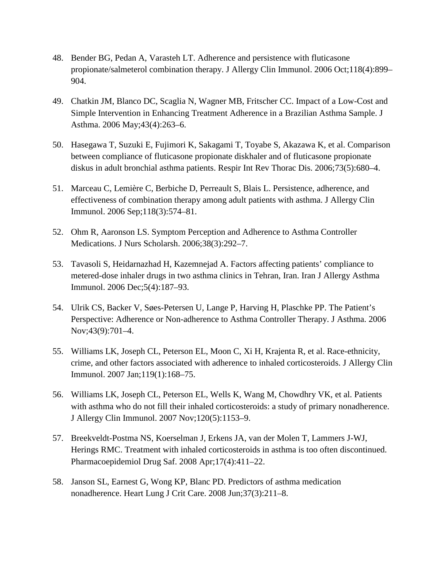- 48. Bender BG, Pedan A, Varasteh LT. Adherence and persistence with fluticasone propionate/salmeterol combination therapy. J Allergy Clin Immunol. 2006 Oct;118(4):899– 904.
- 49. Chatkin JM, Blanco DC, Scaglia N, Wagner MB, Fritscher CC. Impact of a Low-Cost and Simple Intervention in Enhancing Treatment Adherence in a Brazilian Asthma Sample. J Asthma. 2006 May;43(4):263–6.
- 50. Hasegawa T, Suzuki E, Fujimori K, Sakagami T, Toyabe S, Akazawa K, et al. Comparison between compliance of fluticasone propionate diskhaler and of fluticasone propionate diskus in adult bronchial asthma patients. Respir Int Rev Thorac Dis. 2006;73(5):680–4.
- 51. Marceau C, Lemière C, Berbiche D, Perreault S, Blais L. Persistence, adherence, and effectiveness of combination therapy among adult patients with asthma. J Allergy Clin Immunol. 2006 Sep;118(3):574–81.
- 52. Ohm R, Aaronson LS. Symptom Perception and Adherence to Asthma Controller Medications. J Nurs Scholarsh. 2006;38(3):292–7.
- 53. Tavasoli S, Heidarnazhad H, Kazemnejad A. Factors affecting patients' compliance to metered-dose inhaler drugs in two asthma clinics in Tehran, Iran. Iran J Allergy Asthma Immunol. 2006 Dec;5(4):187–93.
- 54. Ulrik CS, Backer V, Søes-Petersen U, Lange P, Harving H, Plaschke PP. The Patient's Perspective: Adherence or Non-adherence to Asthma Controller Therapy. J Asthma. 2006 Nov;43(9):701–4.
- 55. Williams LK, Joseph CL, Peterson EL, Moon C, Xi H, Krajenta R, et al. Race-ethnicity, crime, and other factors associated with adherence to inhaled corticosteroids. J Allergy Clin Immunol. 2007 Jan;119(1):168–75.
- 56. Williams LK, Joseph CL, Peterson EL, Wells K, Wang M, Chowdhry VK, et al. Patients with asthma who do not fill their inhaled corticosteroids: a study of primary nonadherence. J Allergy Clin Immunol. 2007 Nov;120(5):1153–9.
- 57. Breekveldt-Postma NS, Koerselman J, Erkens JA, van der Molen T, Lammers J-WJ, Herings RMC. Treatment with inhaled corticosteroids in asthma is too often discontinued. Pharmacoepidemiol Drug Saf. 2008 Apr;17(4):411–22.
- 58. Janson SL, Earnest G, Wong KP, Blanc PD. Predictors of asthma medication nonadherence. Heart Lung J Crit Care. 2008 Jun;37(3):211–8.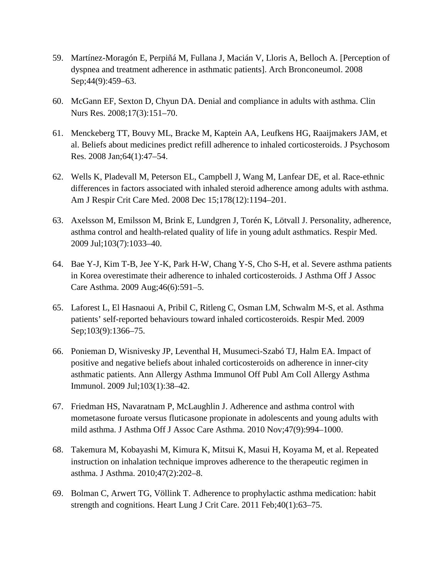- 59. Martínez-Moragón E, Perpiñá M, Fullana J, Macián V, Lloris A, Belloch A. [Perception of dyspnea and treatment adherence in asthmatic patients]. Arch Bronconeumol. 2008 Sep; 44(9): 459–63.
- 60. McGann EF, Sexton D, Chyun DA. Denial and compliance in adults with asthma. Clin Nurs Res. 2008;17(3):151–70.
- 61. Menckeberg TT, Bouvy ML, Bracke M, Kaptein AA, Leufkens HG, Raaijmakers JAM, et al. Beliefs about medicines predict refill adherence to inhaled corticosteroids. J Psychosom Res. 2008 Jan;64(1):47–54.
- 62. Wells K, Pladevall M, Peterson EL, Campbell J, Wang M, Lanfear DE, et al. Race-ethnic differences in factors associated with inhaled steroid adherence among adults with asthma. Am J Respir Crit Care Med. 2008 Dec 15;178(12):1194–201.
- 63. Axelsson M, Emilsson M, Brink E, Lundgren J, Torén K, Lötvall J. Personality, adherence, asthma control and health-related quality of life in young adult asthmatics. Respir Med. 2009 Jul;103(7):1033–40.
- 64. Bae Y-J, Kim T-B, Jee Y-K, Park H-W, Chang Y-S, Cho S-H, et al. Severe asthma patients in Korea overestimate their adherence to inhaled corticosteroids. J Asthma Off J Assoc Care Asthma. 2009 Aug;46(6):591–5.
- 65. Laforest L, El Hasnaoui A, Pribil C, Ritleng C, Osman LM, Schwalm M-S, et al. Asthma patients' self-reported behaviours toward inhaled corticosteroids. Respir Med. 2009 Sep;103(9):1366–75.
- 66. Ponieman D, Wisnivesky JP, Leventhal H, Musumeci-Szabó TJ, Halm EA. Impact of positive and negative beliefs about inhaled corticosteroids on adherence in inner-city asthmatic patients. Ann Allergy Asthma Immunol Off Publ Am Coll Allergy Asthma Immunol. 2009 Jul;103(1):38–42.
- 67. Friedman HS, Navaratnam P, McLaughlin J. Adherence and asthma control with mometasone furoate versus fluticasone propionate in adolescents and young adults with mild asthma. J Asthma Off J Assoc Care Asthma. 2010 Nov;47(9):994–1000.
- 68. Takemura M, Kobayashi M, Kimura K, Mitsui K, Masui H, Koyama M, et al. Repeated instruction on inhalation technique improves adherence to the therapeutic regimen in asthma. J Asthma. 2010;47(2):202–8.
- 69. Bolman C, Arwert TG, Völlink T. Adherence to prophylactic asthma medication: habit strength and cognitions. Heart Lung J Crit Care. 2011 Feb;40(1):63–75.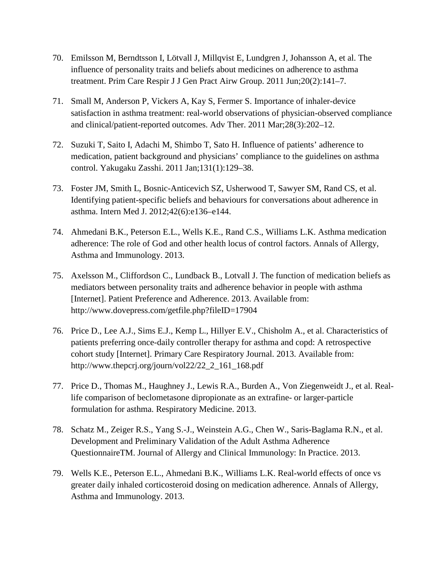- 70. Emilsson M, Berndtsson I, Lötvall J, Millqvist E, Lundgren J, Johansson A, et al. The influence of personality traits and beliefs about medicines on adherence to asthma treatment. Prim Care Respir J J Gen Pract Airw Group. 2011 Jun;20(2):141–7.
- 71. Small M, Anderson P, Vickers A, Kay S, Fermer S. Importance of inhaler-device satisfaction in asthma treatment: real-world observations of physician-observed compliance and clinical/patient-reported outcomes. Adv Ther. 2011 Mar;28(3):202–12.
- 72. Suzuki T, Saito I, Adachi M, Shimbo T, Sato H. Influence of patients' adherence to medication, patient background and physicians' compliance to the guidelines on asthma control. Yakugaku Zasshi. 2011 Jan;131(1):129–38.
- 73. Foster JM, Smith L, Bosnic-Anticevich SZ, Usherwood T, Sawyer SM, Rand CS, et al. Identifying patient-specific beliefs and behaviours for conversations about adherence in asthma. Intern Med J. 2012;42(6):e136–e144.
- 74. Ahmedani B.K., Peterson E.L., Wells K.E., Rand C.S., Williams L.K. Asthma medication adherence: The role of God and other health locus of control factors. Annals of Allergy, Asthma and Immunology. 2013.
- 75. Axelsson M., Cliffordson C., Lundback B., Lotvall J. The function of medication beliefs as mediators between personality traits and adherence behavior in people with asthma [Internet]. Patient Preference and Adherence. 2013. Available from: http://www.dovepress.com/getfile.php?fileID=17904
- 76. Price D., Lee A.J., Sims E.J., Kemp L., Hillyer E.V., Chisholm A., et al. Characteristics of patients preferring once-daily controller therapy for asthma and copd: A retrospective cohort study [Internet]. Primary Care Respiratory Journal. 2013. Available from: http://www.thepcrj.org/journ/vol22/22\_2\_161\_168.pdf
- 77. Price D., Thomas M., Haughney J., Lewis R.A., Burden A., Von Ziegenweidt J., et al. Reallife comparison of beclometasone dipropionate as an extrafine- or larger-particle formulation for asthma. Respiratory Medicine. 2013.
- 78. Schatz M., Zeiger R.S., Yang S.-J., Weinstein A.G., Chen W., Saris-Baglama R.N., et al. Development and Preliminary Validation of the Adult Asthma Adherence QuestionnaireTM. Journal of Allergy and Clinical Immunology: In Practice. 2013.
- 79. Wells K.E., Peterson E.L., Ahmedani B.K., Williams L.K. Real-world effects of once vs greater daily inhaled corticosteroid dosing on medication adherence. Annals of Allergy, Asthma and Immunology. 2013.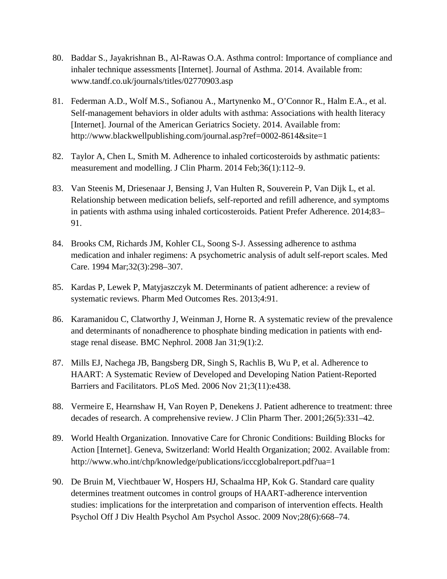- 80. Baddar S., Jayakrishnan B., Al-Rawas O.A. Asthma control: Importance of compliance and inhaler technique assessments [Internet]. Journal of Asthma. 2014. Available from: www.tandf.co.uk/journals/titles/02770903.asp
- 81. Federman A.D., Wolf M.S., Sofianou A., Martynenko M., O'Connor R., Halm E.A., et al. Self-management behaviors in older adults with asthma: Associations with health literacy [Internet]. Journal of the American Geriatrics Society. 2014. Available from: http://www.blackwellpublishing.com/journal.asp?ref=0002-8614&site=1
- 82. Taylor A, Chen L, Smith M. Adherence to inhaled corticosteroids by asthmatic patients: measurement and modelling. J Clin Pharm. 2014 Feb;36(1):112–9.
- 83. Van Steenis M, Driesenaar J, Bensing J, Van Hulten R, Souverein P, Van Dijk L, et al. Relationship between medication beliefs, self-reported and refill adherence, and symptoms in patients with asthma using inhaled corticosteroids. Patient Prefer Adherence. 2014;83– 91.
- 84. Brooks CM, Richards JM, Kohler CL, Soong S-J. Assessing adherence to asthma medication and inhaler regimens: A psychometric analysis of adult self-report scales. Med Care. 1994 Mar;32(3):298–307.
- 85. Kardas P, Lewek P, Matyjaszczyk M. Determinants of patient adherence: a review of systematic reviews. Pharm Med Outcomes Res. 2013;4:91.
- 86. Karamanidou C, Clatworthy J, Weinman J, Horne R. A systematic review of the prevalence and determinants of nonadherence to phosphate binding medication in patients with endstage renal disease. BMC Nephrol. 2008 Jan 31;9(1):2.
- 87. Mills EJ, Nachega JB, Bangsberg DR, Singh S, Rachlis B, Wu P, et al. Adherence to HAART: A Systematic Review of Developed and Developing Nation Patient-Reported Barriers and Facilitators. PLoS Med. 2006 Nov 21;3(11):e438.
- 88. Vermeire E, Hearnshaw H, Van Royen P, Denekens J. Patient adherence to treatment: three decades of research. A comprehensive review. J Clin Pharm Ther. 2001;26(5):331–42.
- 89. World Health Organization. Innovative Care for Chronic Conditions: Building Blocks for Action [Internet]. Geneva, Switzerland: World Health Organization; 2002. Available from: http://www.who.int/chp/knowledge/publications/icccglobalreport.pdf?ua=1
- 90. De Bruin M, Viechtbauer W, Hospers HJ, Schaalma HP, Kok G. Standard care quality determines treatment outcomes in control groups of HAART-adherence intervention studies: implications for the interpretation and comparison of intervention effects. Health Psychol Off J Div Health Psychol Am Psychol Assoc. 2009 Nov;28(6):668–74.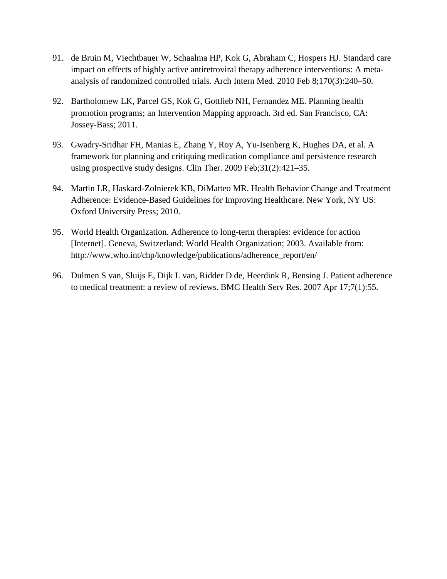- 91. de Bruin M, Viechtbauer W, Schaalma HP, Kok G, Abraham C, Hospers HJ. Standard care impact on effects of highly active antiretroviral therapy adherence interventions: A metaanalysis of randomized controlled trials. Arch Intern Med. 2010 Feb 8;170(3):240–50.
- 92. Bartholomew LK, Parcel GS, Kok G, Gottlieb NH, Fernandez ME. Planning health promotion programs; an Intervention Mapping approach. 3rd ed. San Francisco, CA: Jossey-Bass; 2011.
- 93. Gwadry-Sridhar FH, Manias E, Zhang Y, Roy A, Yu-Isenberg K, Hughes DA, et al. A framework for planning and critiquing medication compliance and persistence research using prospective study designs. Clin Ther. 2009 Feb;31(2):421–35.
- 94. Martin LR, Haskard-Zolnierek KB, DiMatteo MR. Health Behavior Change and Treatment Adherence: Evidence-Based Guidelines for Improving Healthcare. New York, NY US: Oxford University Press; 2010.
- 95. World Health Organization. Adherence to long-term therapies: evidence for action [Internet]. Geneva, Switzerland: World Health Organization; 2003. Available from: http://www.who.int/chp/knowledge/publications/adherence\_report/en/
- 96. Dulmen S van, Sluijs E, Dijk L van, Ridder D de, Heerdink R, Bensing J. Patient adherence to medical treatment: a review of reviews. BMC Health Serv Res. 2007 Apr 17;7(1):55.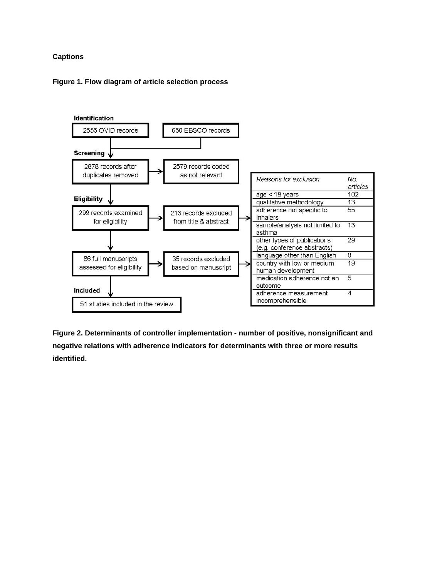#### **Captions**

#### **Figure 1. Flow diagram of article selection process**



**Figure 2. Determinants of controller implementation - number of positive, nonsignificant and negative relations with adherence indicators for determinants with three or more results identified.**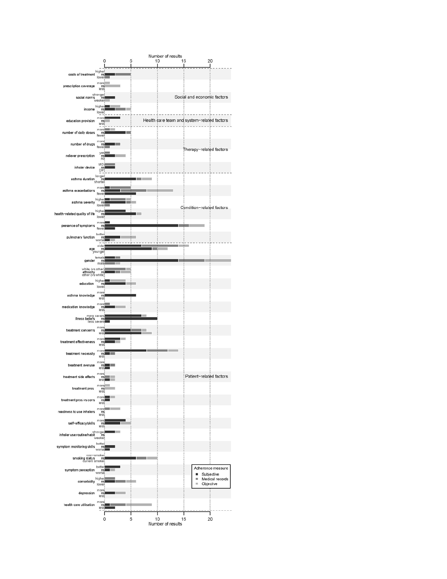